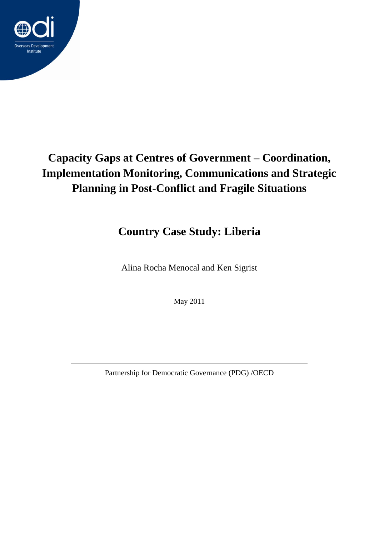

# **Capacity Gaps at Centres of Government – Coordination, Implementation Monitoring, Communications and Strategic Planning in Post-Conflict and Fragile Situations**

# **Country Case Study: Liberia**

Alina Rocha Menocal and Ken Sigrist

May 2011

Partnership for Democratic Governance (PDG) /OECD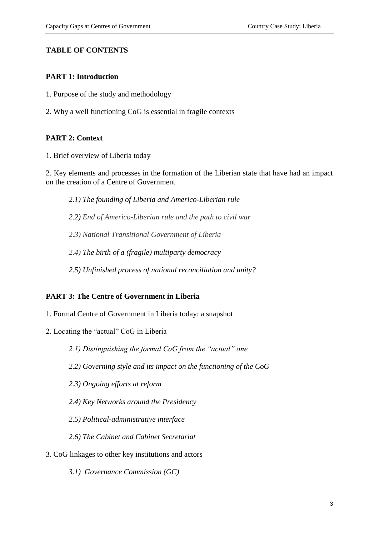## **TABLE OF CONTENTS**

## **PART 1: Introduction**

- 1. Purpose of the study and methodology
- 2. Why a well functioning CoG is essential in fragile contexts

## **PART 2: Context**

1. Brief overview of Liberia today

2. Key elements and processes in the formation of the Liberian state that have had an impact on the creation of a Centre of Government

*2.1) The founding of Liberia and Americo-Liberian rule*

*2.2) End of Americo-Liberian rule and the path to civil war*

*2.3) National Transitional Government of Liberia*

*2.4) The birth of a (fragile) multiparty democracy*

*2.5) Unfinished process of national reconciliation and unity?*

## **PART 3: The Centre of Government in Liberia**

- 1. Formal Centre of Government in Liberia today: a snapshot
- 2. Locating the "actual" CoG in Liberia

*2.1) Distinguishing the formal CoG from the "actual" one*

- *2.2) Governing style and its impact on the functioning of the CoG*
- *2.3) Ongoing efforts at reform*
- *2.4) Key Networks around the Presidency*
- *2.5) Political-administrative interface*
- *2.6) The Cabinet and Cabinet Secretariat*
- 3. CoG linkages to other key institutions and actors
	- *3.1) Governance Commission (GC)*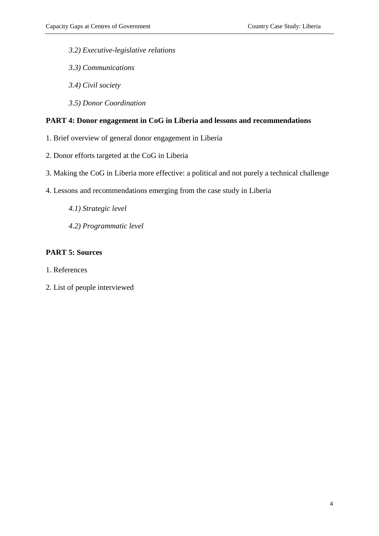- *3.2) Executive-legislative relations*
- *3.3) Communications*
- *3.4) Civil society*
- *3.5) Donor Coordination*

#### **PART 4: Donor engagement in CoG in Liberia and lessons and recommendations**

- 1. Brief overview of general donor engagement in Liberia
- 2. Donor efforts targeted at the CoG in Liberia
- 3. Making the CoG in Liberia more effective: a political and not purely a technical challenge
- 4. Lessons and recommendations emerging from the case study in Liberia
	- *4.1) Strategic level*
	- *4.2) Programmatic level*

#### **PART 5: Sources**

- 1. References
- 2. List of people interviewed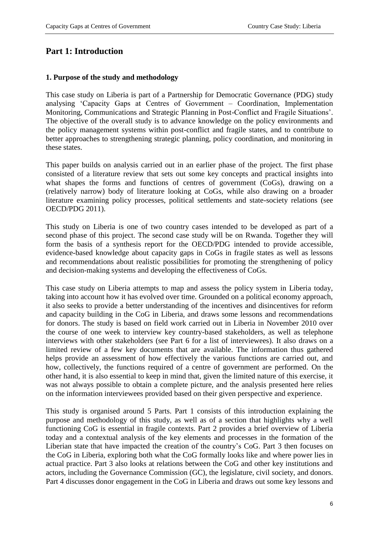# **Part 1: Introduction**

#### **1. Purpose of the study and methodology**

This case study on Liberia is part of a Partnership for Democratic Governance (PDG) study analysing 'Capacity Gaps at Centres of Government – Coordination, Implementation Monitoring, Communications and Strategic Planning in Post-Conflict and Fragile Situations'. The objective of the overall study is to advance knowledge on the policy environments and the policy management systems within post-conflict and fragile states, and to contribute to better approaches to strengthening strategic planning, policy coordination, and monitoring in these states.

This paper builds on analysis carried out in an earlier phase of the project. The first phase consisted of a literature review that sets out some key concepts and practical insights into what shapes the forms and functions of centres of government (CoGs), drawing on a (relatively narrow) body of literature looking at CoGs, while also drawing on a broader literature examining policy processes, political settlements and state-society relations (see OECD/PDG 2011).

This study on Liberia is one of two country cases intended to be developed as part of a second phase of this project. The second case study will be on Rwanda. Together they will form the basis of a synthesis report for the OECD/PDG intended to provide accessible, evidence-based knowledge about capacity gaps in CoGs in fragile states as well as lessons and recommendations about realistic possibilities for promoting the strengthening of policy and decision-making systems and developing the effectiveness of CoGs.

This case study on Liberia attempts to map and assess the policy system in Liberia today, taking into account how it has evolved over time. Grounded on a political economy approach, it also seeks to provide a better understanding of the incentives and disincentives for reform and capacity building in the CoG in Liberia, and draws some lessons and recommendations for donors. The study is based on field work carried out in Liberia in November 2010 over the course of one week to interview key country-based stakeholders, as well as telephone interviews with other stakeholders (see Part 6 for a list of interviewees). It also draws on a limited review of a few key documents that are available. The information thus gathered helps provide an assessment of how effectively the various functions are carried out, and how, collectively, the functions required of a centre of government are performed. On the other hand, it is also essential to keep in mind that, given the limited nature of this exercise, it was not always possible to obtain a complete picture, and the analysis presented here relies on the information interviewees provided based on their given perspective and experience.

This study is organised around 5 Parts. Part 1 consists of this introduction explaining the purpose and methodology of this study, as well as of a section that highlights why a well functioning CoG is essential in fragile contexts. Part 2 provides a brief overview of Liberia today and a contextual analysis of the key elements and processes in the formation of the Liberian state that have impacted the creation of the country's CoG. Part 3 then focuses on the CoG in Liberia, exploring both what the CoG formally looks like and where power lies in actual practice. Part 3 also looks at relations between the CoG and other key institutions and actors, including the Governance Commission (GC), the legislature, civil society, and donors. Part 4 discusses donor engagement in the CoG in Liberia and draws out some key lessons and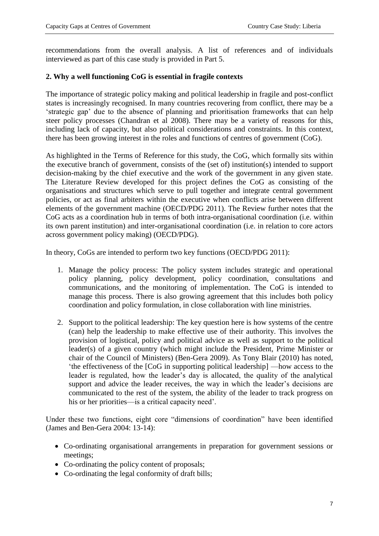recommendations from the overall analysis. A list of references and of individuals interviewed as part of this case study is provided in Part 5.

## **2. Why a well functioning CoG is essential in fragile contexts**

The importance of strategic policy making and political leadership in fragile and post-conflict states is increasingly recognised. In many countries recovering from conflict, there may be a 'strategic gap' due to the absence of planning and prioritisation frameworks that can help steer policy processes (Chandran et al 2008). There may be a variety of reasons for this, including lack of capacity, but also political considerations and constraints. In this context, there has been growing interest in the roles and functions of centres of government (CoG).

As highlighted in the Terms of Reference for this study, the CoG, which formally sits within the executive branch of government, consists of the (set of) institution(s) intended to support decision-making by the chief executive and the work of the government in any given state. The Literature Review developed for this project defines the CoG as consisting of the organisations and structures which serve to pull together and integrate central government policies, or act as final arbiters within the executive when conflicts arise between different elements of the government machine (OECD/PDG 2011). The Review further notes that the CoG acts as a coordination hub in terms of both intra-organisational coordination (i.e. within its own parent institution) and inter-organisational coordination (i.e. in relation to core actors across government policy making) (OECD/PDG).

In theory, CoGs are intended to perform two key functions (OECD/PDG 2011):

- 1. Manage the policy process: The policy system includes strategic and operational policy planning, policy development, policy coordination, consultations and communications, and the monitoring of implementation. The CoG is intended to manage this process. There is also growing agreement that this includes both policy coordination and policy formulation, in close collaboration with line ministries.
- 2. Support to the political leadership: The key question here is how systems of the centre (can) help the leadership to make effective use of their authority. This involves the provision of logistical, policy and political advice as well as support to the political leader(s) of a given country (which might include the President, Prime Minister or chair of the Council of Ministers) (Ben-Gera 2009). As Tony Blair (2010) has noted, 'the effectiveness of the [CoG in supporting political leadership] —how access to the leader is regulated, how the leader's day is allocated, the quality of the analytical support and advice the leader receives, the way in which the leader's decisions are communicated to the rest of the system, the ability of the leader to track progress on his or her priorities—is a critical capacity need'.

Under these two functions, eight core "dimensions of coordination" have been identified (James and Ben-Gera 2004: 13-14):

- Co-ordinating organisational arrangements in preparation for government sessions or meetings;
- Co-ordinating the policy content of proposals;
- Co-ordinating the legal conformity of draft bills;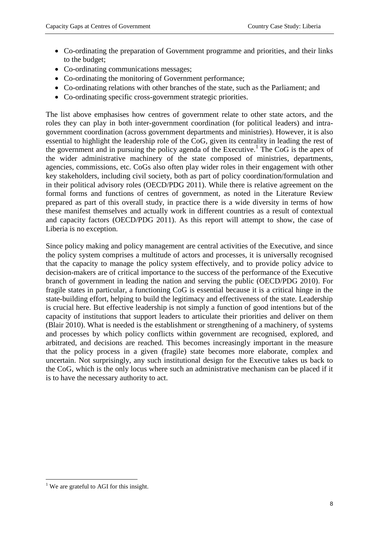- Co-ordinating the preparation of Government programme and priorities, and their links to the budget;
- Co-ordinating communications messages;
- Co-ordinating the monitoring of Government performance;
- Co-ordinating relations with other branches of the state, such as the Parliament; and
- Co-ordinating specific cross-government strategic priorities.

The list above emphasises how centres of government relate to other state actors, and the roles they can play in both inter-government coordination (for political leaders) and intragovernment coordination (across government departments and ministries). However, it is also essential to highlight the leadership role of the CoG, given its centrality in leading the rest of the government and in pursuing the policy agenda of the Executive.<sup>1</sup> The CoG is the apex of the wider administrative machinery of the state composed of ministries, departments, agencies, commissions, etc. CoGs also often play wider roles in their engagement with other key stakeholders, including civil society, both as part of policy coordination/formulation and in their political advisory roles (OECD/PDG 2011). While there is relative agreement on the formal forms and functions of centres of government, as noted in the Literature Review prepared as part of this overall study, in practice there is a wide diversity in terms of how these manifest themselves and actually work in different countries as a result of contextual and capacity factors (OECD/PDG 2011). As this report will attempt to show, the case of Liberia is no exception.

Since policy making and policy management are central activities of the Executive, and since the policy system comprises a multitude of actors and processes, it is universally recognised that the capacity to manage the policy system effectively, and to provide policy advice to decision-makers are of critical importance to the success of the performance of the Executive branch of government in leading the nation and serving the public (OECD/PDG 2010). For fragile states in particular, a functioning CoG is essential because it is a critical hinge in the state-building effort, helping to build the legitimacy and effectiveness of the state. Leadership is crucial here. But effective leadership is not simply a function of good intentions but of the capacity of institutions that support leaders to articulate their priorities and deliver on them (Blair 2010). What is needed is the establishment or strengthening of a machinery, of systems and processes by which policy conflicts within government are recognised, explored, and arbitrated, and decisions are reached. This becomes increasingly important in the measure that the policy process in a given (fragile) state becomes more elaborate, complex and uncertain. Not surprisingly, any such institutional design for the Executive takes us back to the CoG, which is the only locus where such an administrative mechanism can be placed if it is to have the necessary authority to act.

**<sup>.</sup>**  $<sup>1</sup>$  We are grateful to AGI for this insight.</sup>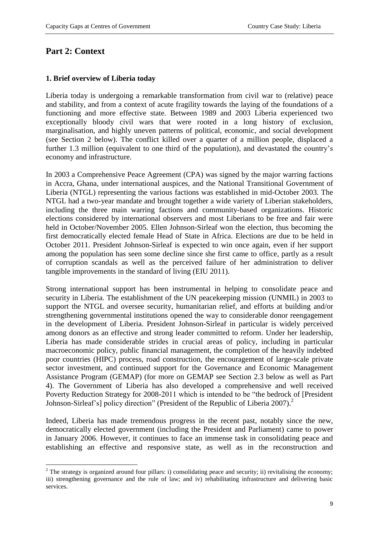# **Part 2: Context**

1

#### **1. Brief overview of Liberia today**

Liberia today is undergoing a remarkable transformation from civil war to (relative) peace and stability, and from a context of acute fragility towards the laying of the foundations of a functioning and more effective state. Between 1989 and 2003 Liberia experienced two exceptionally bloody civil wars that were rooted in a long history of exclusion, marginalisation, and highly uneven patterns of political, economic, and social development (see Section 2 below). The conflict killed over a quarter of a million people, displaced a further 1.3 million (equivalent to one third of the population), and devastated the country's economy and infrastructure.

In 2003 a Comprehensive Peace Agreement (CPA) was signed by the major warring factions in Accra, Ghana, under international auspices, and the National Transitional Government of Liberia (NTGL) representing the various factions was established in mid-October 2003. The NTGL had a two-year mandate and brought together a wide variety of Liberian stakeholders, including the three main warring factions and community-based organizations. Historic elections considered by international observers and most Liberians to be free and fair were held in October/November 2005. Ellen Johnson-Sirleaf won the election, thus becoming the first democratically elected female Head of State in Africa. Elections are due to be held in October 2011. President Johnson-Sirleaf is expected to win once again, even if her support among the population has seen some decline since she first came to office, partly as a result of corruption scandals as well as the perceived failure of her administration to deliver tangible improvements in the standard of living (EIU 2011).

Strong international support has been instrumental in helping to consolidate peace and security in Liberia. The establishment of the UN peacekeeping mission (UNMIL) in 2003 to support the NTGL and oversee security, humanitarian relief, and efforts at building and/or strengthening governmental institutions opened the way to considerable donor reengagement in the development of Liberia. President Johnson-Sirleaf in particular is widely perceived among donors as an effective and strong leader committed to reform. Under her leadership, Liberia has made considerable strides in crucial areas of policy, including in particular macroeconomic policy, public financial management, the completion of the heavily indebted poor countries (HIPC) process, road construction, the encouragement of large-scale private sector investment, and continued support for the Governance and Economic Management Assistance Program (GEMAP) (for more on GEMAP see Section 2.3 below as well as Part 4). The Government of Liberia has also developed a comprehensive and well received Poverty Reduction Strategy for 2008-2011 which is intended to be "the bedrock of [President Johnson-Sirleaf's] policy direction" (President of the Republic of Liberia 2007).<sup>2</sup>

Indeed, Liberia has made tremendous progress in the recent past, notably since the new, democratically elected government (including the President and Parliament) came to power in January 2006. However, it continues to face an immense task in consolidating peace and establishing an effective and responsive state, as well as in the reconstruction and

<sup>&</sup>lt;sup>2</sup> The strategy is organized around four pillars: i) consolidating peace and security; ii) revitalising the economy; iii) strengthening governance and the rule of law; and iv) rehabilitating infrastructure and delivering basic services.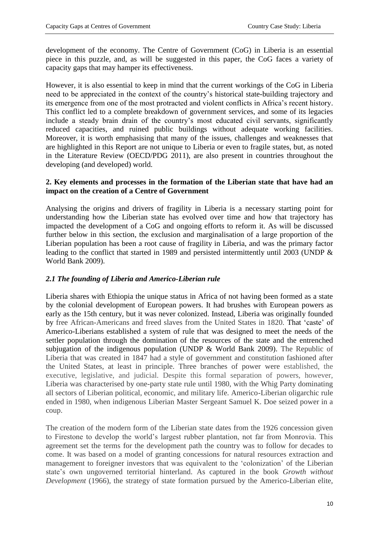development of the economy. The Centre of Government (CoG) in Liberia is an essential piece in this puzzle, and, as will be suggested in this paper, the CoG faces a variety of capacity gaps that may hamper its effectiveness.

However, it is also essential to keep in mind that the current workings of the CoG in Liberia need to be appreciated in the context of the country's historical state-building trajectory and its emergence from one of the most protracted and violent conflicts in Africa's recent history. This conflict led to a complete breakdown of government services, and some of its legacies include a steady brain drain of the country's most educated civil servants, significantly reduced capacities, and ruined public buildings without adequate working facilities. Moreover, it is worth emphasising that many of the issues, challenges and weaknesses that are highlighted in this Report are not unique to Liberia or even to fragile states, but, as noted in the Literature Review (OECD/PDG 2011), are also present in countries throughout the developing (and developed) world.

## **2. Key elements and processes in the formation of the Liberian state that have had an impact on the creation of a Centre of Government**

Analysing the origins and drivers of fragility in Liberia is a necessary starting point for understanding how the Liberian state has evolved over time and how that trajectory has impacted the development of a CoG and ongoing efforts to reform it. As will be discussed further below in this section, the exclusion and marginalisation of a large proportion of the Liberian population has been a root cause of fragility in Liberia, and was the primary factor leading to the conflict that started in 1989 and persisted intermittently until 2003 (UNDP & World Bank 2009).

# *2.1 The founding of Liberia and Americo-Liberian rule*

Liberia shares with Ethiopia the unique status in Africa of not having been formed as a state by the colonial development of European powers. It had brushes with European powers as early as the 15th century, but it was never colonized. Instead, Liberia was originally founded by free African-Americans and freed slaves from the United States in 1820. That 'caste' of Americo-Liberians established a system of rule that was designed to meet the needs of the settler population through the domination of the resources of the state and the entrenched subjugation of the indigenous population (UNDP & World Bank 2009). The Republic of Liberia that was created in 1847 had a style of government and constitution fashioned after the United States, at least in principle. Three branches of power were established, the executive, legislative, and judicial. Despite this formal separation of powers, however, Liberia was characterised by one-party state rule until 1980, with the Whig Party dominating all sectors of Liberian political, economic, and military life. Americo-Liberian oligarchic rule ended in 1980, when indigenous Liberian Master Sergeant Samuel K. Doe seized power in a coup.

The creation of the modern form of the Liberian state dates from the 1926 concession given to Firestone to develop the world's largest rubber plantation, not far from Monrovia. This agreement set the terms for the development path the country was to follow for decades to come. It was based on a model of granting concessions for natural resources extraction and management to foreigner investors that was equivalent to the 'colonization' of the Liberian state's own ungoverned territorial hinterland. As captured in the book *Growth without Development* (1966), the strategy of state formation pursued by the Americo-Liberian elite,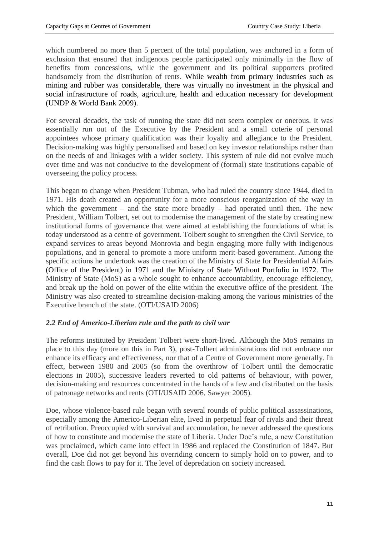which numbered no more than 5 percent of the total population, was anchored in a form of exclusion that ensured that indigenous people participated only minimally in the flow of benefits from concessions, while the government and its political supporters profited handsomely from the distribution of rents. While wealth from primary industries such as mining and rubber was considerable, there was virtually no investment in the physical and social infrastructure of roads, agriculture, health and education necessary for development (UNDP & World Bank 2009).

For several decades, the task of running the state did not seem complex or onerous. It was essentially run out of the Executive by the President and a small coterie of personal appointees whose primary qualification was their loyalty and allegiance to the President. Decision-making was highly personalised and based on key investor relationships rather than on the needs of and linkages with a wider society. This system of rule did not evolve much over time and was not conducive to the development of (formal) state institutions capable of overseeing the policy process.

This began to change when President Tubman, who had ruled the country since 1944, died in 1971. His death created an opportunity for a more conscious reorganization of the way in which the government – and the state more broadly – had operated until then. The new President, William Tolbert, set out to modernise the management of the state by creating new institutional forms of governance that were aimed at establishing the foundations of what is today understood as a centre of government. Tolbert sought to strengthen the Civil Service, to expand services to areas beyond Monrovia and begin engaging more fully with indigenous populations, and in general to promote a more uniform merit-based government. Among the specific actions he undertook was the creation of the Ministry of State for Presidential Affairs (Office of the President) in 1971 and the Ministry of State Without Portfolio in 1972. The Ministry of State (MoS) as a whole sought to enhance accountability, encourage efficiency, and break up the hold on power of the elite within the executive office of the president. The Ministry was also created to streamline decision-making among the various ministries of the Executive branch of the state. (OTI/USAID 2006)

## *2.2 End of Americo-Liberian rule and the path to civil war*

The reforms instituted by President Tolbert were short-lived. Although the MoS remains in place to this day (more on this in Part 3), post-Tolbert administrations did not embrace nor enhance its efficacy and effectiveness, nor that of a Centre of Government more generally. In effect, between 1980 and 2005 (so from the overthrow of Tolbert until the democratic elections in 2005), successive leaders reverted to old patterns of behaviour, with power, decision-making and resources concentrated in the hands of a few and distributed on the basis of patronage networks and rents (OTI/USAID 2006, Sawyer 2005).

Doe, whose violence-based rule began with several rounds of public political assassinations, especially among the Americo-Liberian elite, lived in perpetual fear of rivals and their threat of retribution. Preoccupied with survival and accumulation, he never addressed the questions of how to constitute and modernise the state of Liberia. Under Doe's rule, a new Constitution was proclaimed, which came into effect in 1986 and replaced the Constitution of 1847. But overall, Doe did not get beyond his overriding concern to simply hold on to power, and to find the cash flows to pay for it. The level of depredation on society increased.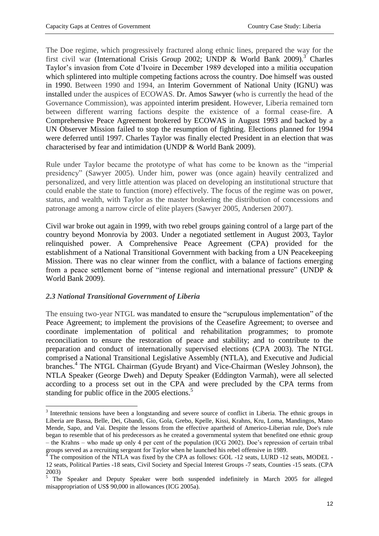The Doe regime, which progressively fractured along ethnic lines, prepared the way for the first civil war (International Crisis Group 2002; UNDP  $\&$  World Bank 2009).<sup>3</sup> Charles Taylor's invasion from Cote d'Ivoire in December 1989 developed into a militia occupation which splintered into multiple competing factions across the country. Doe himself was ousted in 1990. Between 1990 and 1994, an Interim Government of National Unity (IGNU) was installed under the auspices of ECOWAS. Dr. Amos Sawyer (who is currently the head of the Governance Commission), was appointed interim president. However, Liberia remained torn between different warring factions despite the existence of a formal cease-fire. A Comprehensive Peace Agreement brokered by ECOWAS in August 1993 and backed by a UN Observer Mission failed to stop the resumption of fighting. Elections planned for 1994 were deferred until 1997. Charles Taylor was finally elected President in an election that was characterised by fear and intimidation (UNDP & World Bank 2009).

Rule under Taylor became the prototype of what has come to be known as the "imperial presidency" (Sawyer 2005). Under him, power was (once again) heavily centralized and personalized, and very little attention was placed on developing an institutional structure that could enable the state to function (more) effectively. The focus of the regime was on power, status, and wealth, with Taylor as the master brokering the distribution of concessions and patronage among a narrow circle of elite players (Sawyer 2005, Andersen 2007).

Civil war broke out again in 1999, with two rebel groups gaining control of a large part of the country beyond Monrovia by 2003. Under a negotiated settlement in August 2003, Taylor relinquished power. A Comprehensive Peace Agreement (CPA) provided for the establishment of a National Transitional Government with backing from a UN Peacekeeping Mission. There was no clear winner from the conflict, with a balance of factions emerging from a peace settlement borne of "intense regional and international pressure" (UNDP & World Bank 2009).

## *2.3 National Transitional Government of Liberia*

**.** 

The ensuing two-year NTGL was mandated to ensure the "scrupulous implementation" of the Peace Agreement; to implement the provisions of the Ceasefire Agreement; to oversee and coordinate implementation of political and rehabilitation programmes; to promote reconciliation to ensure the restoration of peace and stability; and to contribute to the preparation and conduct of internationally supervised elections (CPA 2003). The NTGL comprised a National Transitional Legislative Assembly (NTLA), and Executive and Judicial branches. 4 The NTGL Chairman (Gyude Bryant) and Vice-Chairman (Wesley Johnson), the NTLA Speaker (George Dweh) and Deputy Speaker (Eddington Varmah), were all selected according to a process set out in the CPA and were precluded by the CPA terms from standing for public office in the 2005 elections.<sup>5</sup>

<sup>&</sup>lt;sup>3</sup> Interethnic tensions have been a longstanding and severe source of conflict in Liberia. The ethnic groups in Liberia are Bassa, Belle, Dei, Gbandi, Gio, Gola, Grebo, Kpelle, Kissi, Krahns, Kru, Loma, Mandingos, Mano Mende, Sapo, and Vai. Despite the lessons from the effective apartheid of Americo-Liberian rule, Doe's rule began to resemble that of his predecessors as he created a governmental system that benefited one ethnic group – the Krahns – who made up only 4 per cent of the population (ICG 2002). Doe's repression of certain tribal groups served as a recruiting sergeant for Taylor when he launched his rebel offensive in 1989.

<sup>4</sup> The composition of the NTLA was fixed by the CPA as follows: GOL -12 seats, LURD -12 seats, MODEL - 12 seats, Political Parties -18 seats, Civil Society and Special Interest Groups -7 seats, Counties -15 seats. (CPA 2003)

 $\frac{5}{10}$  The Speaker and Deputy Speaker were both suspended indefinitely in March 2005 for alleged misappropriation of US\$ 90,000 in allowances (ICG 2005a).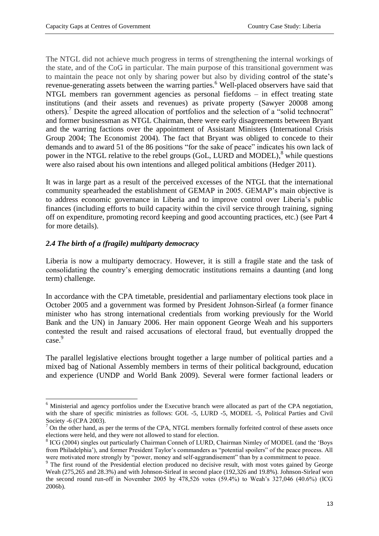The NTGL did not achieve much progress in terms of strengthening the internal workings of the state, and of the CoG in particular. The main purpose of this transitional government was to maintain the peace not only by sharing power but also by dividing control of the state's revenue-generating assets between the warring parties.<sup>6</sup> Well-placed observers have said that NTGL members ran government agencies as personal fiefdoms – in effect treating state institutions (and their assets and revenues) as private property (Sawyer 20008 among others).<sup>7</sup> Despite the agreed allocation of portfolios and the selection of a "solid technocrat" and former businessman as NTGL Chairman, there were early disagreements between Bryant and the warring factions over the appointment of Assistant Ministers (International Crisis Group 2004; The Economist 2004). The fact that Bryant was obliged to concede to their demands and to award 51 of the 86 positions "for the sake of peace" indicates his own lack of power in the NTGL relative to the rebel groups (GoL, LURD and MODEL),<sup>8</sup> while questions were also raised about his own intentions and alleged political ambitions (Hedger 2011).

It was in large part as a result of the perceived excesses of the NTGL that the international community spearheaded the establishment of GEMAP in 2005. GEMAP's main objective is to address economic governance in Liberia and to improve control over Liberia's public finances (including efforts to build capacity within the civil service through training, signing off on expenditure, promoting record keeping and good accounting practices, etc.) (see Part 4 for more details).

## *2.4 The birth of a (fragile) multiparty democracy*

1

Liberia is now a multiparty democracy. However, it is still a fragile state and the task of consolidating the country's emerging democratic institutions remains a daunting (and long term) challenge.

In accordance with the CPA timetable, presidential and parliamentary elections took place in October 2005 and a government was formed by President Johnson-Sirleaf (a former finance minister who has strong international credentials from working previously for the World Bank and the UN) in January 2006. Her main opponent George Weah and his supporters contested the result and raised accusations of electoral fraud, but eventually dropped the case. 9

The parallel legislative elections brought together a large number of political parties and a mixed bag of National Assembly members in terms of their political background, education and experience (UNDP and World Bank 2009). Several were former factional leaders or

<sup>&</sup>lt;sup>6</sup> Ministerial and agency portfolios under the Executive branch were allocated as part of the CPA negotiation, with the share of specific ministries as follows: GOL -5, LURD -5, MODEL -5, Political Parties and Civil Society -6 (CPA 2003).

<sup>&</sup>lt;sup>7</sup> On the other hand, as per the terms of the CPA, NTGL members formally forfeited control of these assets once elections were held, and they were not allowed to stand for election.

<sup>&</sup>lt;sup>8</sup> ICG (2004) singles out particularly Chairman Conneh of LURD, Chairman Nimley of MODEL (and the 'Boys from Philadelphia'), and former President Taylor's commanders as "potential spoilers" of the peace process. All were motivated more strongly by "power, money and self-aggrandisement" than by a commitment to peace.

<sup>&</sup>lt;sup>9</sup> The first round of the Presidential election produced no decisive result, with most votes gained by George Weah (275,265 and 28.3%) and with Johnson-Sirleaf in second place (192,326 and 19.8%). Johnson-Sirleaf won the second round run-off in November 2005 by 478,526 votes (59.4%) to Weah's 327,046 (40.6%) (ICG 2006b).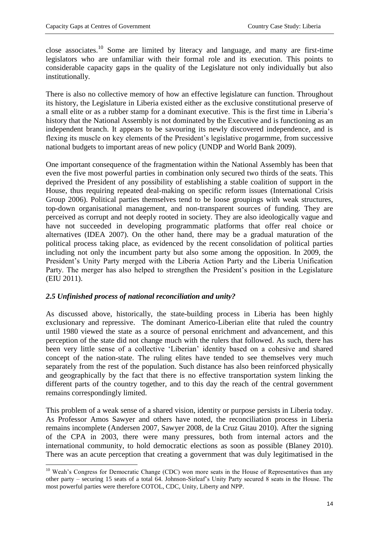close associates.<sup>10</sup> Some are limited by literacy and language, and many are first-time legislators who are unfamiliar with their formal role and its execution. This points to considerable capacity gaps in the quality of the Legislature not only individually but also institutionally.

There is also no collective memory of how an effective legislature can function. Throughout its history, the Legislature in Liberia existed either as the exclusive constitutional preserve of a small elite or as a rubber stamp for a dominant executive. This is the first time in Liberia's history that the National Assembly is not dominated by the Executive and is functioning as an independent branch. It appears to be savouring its newly discovered independence, and is flexing its muscle on key elements of the President's legislative progarmme, from successive national budgets to important areas of new policy (UNDP and World Bank 2009).

One important consequence of the fragmentation within the National Assembly has been that even the five most powerful parties in combination only secured two thirds of the seats. This deprived the President of any possibility of establishing a stable coalition of support in the House, thus requiring repeated deal-making on specific reform issues (International Crisis Group 2006). Political parties themselves tend to be loose groupings with weak structures, top-down organisational management, and non-transparent sources of funding. They are perceived as corrupt and not deeply rooted in society. They are also ideologically vague and have not succeeded in developing programmatic platforms that offer real choice or alternatives (IDEA 2007). On the other hand, there may be a gradual maturation of the political process taking place, as evidenced by the recent consolidation of political parties including not only the incumbent party but also some among the opposition. In 2009, the President's Unity Party merged with the Liberia Action Party and the Liberia Unification Party. The merger has also helped to strengthen the President's position in the Legislature (EIU 2011).

## *2.5 Unfinished process of national reconciliation and unity?*

As discussed above, historically, the state-building process in Liberia has been highly exclusionary and repressive. The dominant Americo-Liberian elite that ruled the country until 1980 viewed the state as a source of personal enrichment and advancement, and this perception of the state did not change much with the rulers that followed. As such, there has been very little sense of a collective 'Liberian' identity based on a cohesive and shared concept of the nation-state. The ruling elites have tended to see themselves very much separately from the rest of the population. Such distance has also been reinforced physically and geographically by the fact that there is no effective transportation system linking the different parts of the country together, and to this day the reach of the central government remains correspondingly limited.

This problem of a weak sense of a shared vision, identity or purpose persists in Liberia today. As Professor Amos Sawyer and others have noted, the reconciliation process in Liberia remains incomplete (Andersen 2007, Sawyer 2008, de la Cruz Gitau 2010). After the signing of the CPA in 2003, there were many pressures, both from internal actors and the international community, to hold democratic elections as soon as possible (Blaney 2010). There was an acute perception that creating a government that was duly legitimatised in the

<sup>1</sup> <sup>10</sup> Weah's Congress for Democratic Change (CDC) won more seats in the House of Representatives than any other party – securing 15 seats of a total 64. Johnson-Sirleaf's Unity Party secured 8 seats in the House. The most powerful parties were therefore COTOL, CDC, Unity, Liberty and NPP.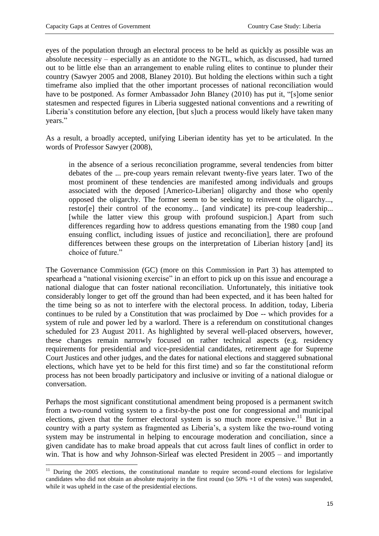eyes of the population through an electoral process to be held as quickly as possible was an absolute necessity – especially as an antidote to the NGTL, which, as discussed, had turned out to be little else than an arrangement to enable ruling elites to continue to plunder their country (Sawyer 2005 and 2008, Blaney 2010). But holding the elections within such a tight timeframe also implied that the other important processes of national reconciliation would have to be postponed. As former Ambassador John Blaney (2010) has put it, "[s]ome senior statesmen and respected figures in Liberia suggested national conventions and a rewriting of Liberia's constitution before any election, [but s]uch a process would likely have taken many years."

As a result, a broadly accepted, unifying Liberian identity has yet to be articulated. In the words of Professor Sawyer (2008),

in the absence of a serious reconciliation programme, several tendencies from bitter debates of the ... pre-coup years remain relevant twenty-five years later. Two of the most prominent of these tendencies are manifested among individuals and groups associated with the deposed [Americo-Liberian] oligarchy and those who openly opposed the oligarchy. The former seem to be seeking to reinvent the oligarchy..., restor[e] their control of the economy... [and vindicate] its pre-coup leadership... [while the latter view this group with profound suspicion.] Apart from such differences regarding how to address questions emanating from the 1980 coup [and ensuing conflict, including issues of justice and reconciliation], there are profound differences between these groups on the interpretation of Liberian history [and] its choice of future."

The Governance Commission (GC) (more on this Commission in Part 3) has attempted to spearhead a "national visioning exercise" in an effort to pick up on this issue and encourage a national dialogue that can foster national reconciliation. Unfortunately, this initiative took considerably longer to get off the ground than had been expected, and it has been halted for the time being so as not to interfere with the electoral process. In addition, today, Liberia continues to be ruled by a Constitution that was proclaimed by Doe -- which provides for a system of rule and power led by a warlord. There is a referendum on constitutional changes scheduled for 23 August 2011. As highlighted by several well-placed observers, however, these changes remain narrowly focused on rather technical aspects (e.g. residency requirements for presidential and vice-presidential candidates, retirement age for Supreme Court Justices and other judges, and the dates for national elections and staggered subnational elections, which have yet to be held for this first time) and so far the constitutional reform process has not been broadly participatory and inclusive or inviting of a national dialogue or conversation.

Perhaps the most significant constitutional amendment being proposed is a permanent switch from a two-round voting system to a first-by-the post one for congressional and municipal elections, given that the former electoral system is so much more expensive.<sup>11</sup> But in a country with a party system as fragmented as Liberia's, a system like the two-round voting system may be instrumental in helping to encourage moderation and conciliation, since a given candidate has to make broad appeals that cut across fault lines of conflict in order to win. That is how and why Johnson-Sirleaf was elected President in 2005 – and importantly

<sup>1</sup>  $11$  During the 2005 elections, the constitutional mandate to require second-round elections for legislative candidates who did not obtain an absolute majority in the first round (so 50% +1 of the votes) was suspended, while it was upheld in the case of the presidential elections.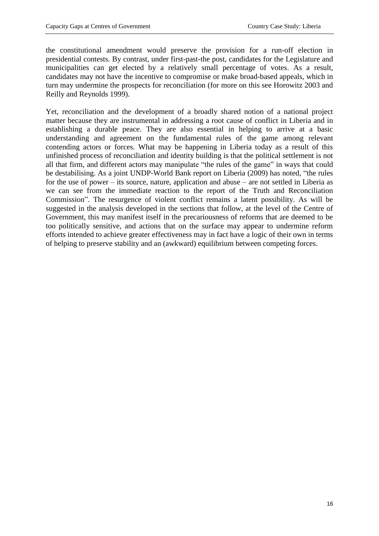the constitutional amendment would preserve the provision for a run-off election in presidential contests. By contrast, under first-past-the post, candidates for the Legislature and municipalities can get elected by a relatively small percentage of votes. As a result, candidates may not have the incentive to compromise or make broad-based appeals, which in turn may undermine the prospects for reconciliation (for more on this see Horowitz 2003 and Reilly and Reynolds 1999).

Yet, reconciliation and the development of a broadly shared notion of a national project matter because they are instrumental in addressing a root cause of conflict in Liberia and in establishing a durable peace. They are also essential in helping to arrive at a basic understanding and agreement on the fundamental rules of the game among relevant contending actors or forces. What may be happening in Liberia today as a result of this unfinished process of reconciliation and identity building is that the political settlement is not all that firm, and different actors may manipulate "the rules of the game" in ways that could be destabilising. As a joint UNDP-World Bank report on Liberia (2009) has noted, "the rules for the use of power – its source, nature, application and abuse – are not settled in Liberia as we can see from the immediate reaction to the report of the Truth and Reconciliation Commission". The resurgence of violent conflict remains a latent possibility. As will be suggested in the analysis developed in the sections that follow, at the level of the Centre of Government, this may manifest itself in the precariousness of reforms that are deemed to be too politically sensitive, and actions that on the surface may appear to undermine reform efforts intended to achieve greater effectiveness may in fact have a logic of their own in terms of helping to preserve stability and an (awkward) equilibrium between competing forces.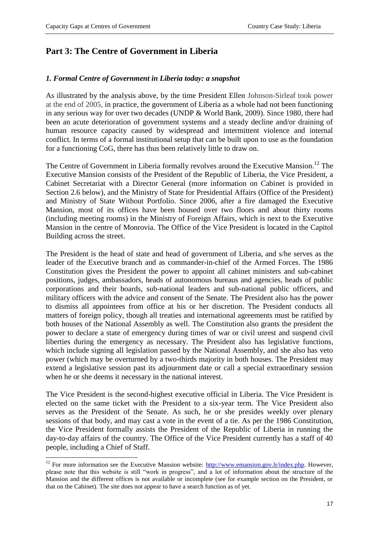**.** 

# **Part 3: The Centre of Government in Liberia**

#### *1. Formal Centre of Government in Liberia today: a snapshot*

As illustrated by the analysis above, by the time President Ellen Johnson-Sirleaf took power at the end of 2005, in practice, the government of Liberia as a whole had not been functioning in any serious way for over two decades (UNDP & World Bank, 2009). Since 1980, there had been an acute deterioration of government systems and a steady decline and/or draining of human resource capacity caused by widespread and intermittent violence and internal conflict. In terms of a formal institutional setup that can be built upon to use as the foundation for a functioning CoG, there has thus been relatively little to draw on.

The Centre of Government in Liberia formally revolves around the Executive Mansion.<sup>12</sup> The Executive Mansion consists of the President of the Republic of Liberia, the Vice President, a Cabinet Secretariat with a Director General (more information on Cabinet is provided in Section 2.6 below), and the Ministry of State for Presidential Affairs (Office of the President) and Ministry of State Without Portfolio. Since 2006, after a fire damaged the Executive Mansion, most of its offices have been housed over two floors and about thirty rooms (including meeting rooms) in the Ministry of Foreign Affairs, which is next to the Executive Mansion in the centre of Monrovia. The Office of the Vice President is located in the Capitol Building across the street.

The President is the head of state and head of government of Liberia, and s/he serves as the leader of the Executive branch and as commander-in-chief of the Armed Forces. The 1986 Constitution gives the President the power to appoint all cabinet ministers and sub-cabinet positions, judges, ambassadors, heads of autonomous bureaus and agencies, heads of public corporations and their boards, sub-national leaders and sub-national public officers, and military officers with the advice and consent of the Senate. The President also has the power to dismiss all appointees from office at his or her discretion. The President conducts all matters of foreign policy, though all treaties and international agreements must be ratified by both houses of the National Assembly as well. The Constitution also grants the president the power to declare a state of emergency during times of war or civil unrest and suspend civil liberties during the emergency as necessary. The President also has legislative functions, which include signing all legislation passed by the National Assembly, and she also has veto power (which may be overturned by a two-thirds majority in both houses. The President may extend a legislative session past its adjournment date or call a special extraordinary session when he or she deems it necessary in the national interest.

The Vice President is the second-highest executive official in Liberia. The Vice President is elected on the same ticket with the President to a six-year term. The Vice President also serves as the President of the Senate. As such, he or she presides weekly over plenary sessions of that body, and may cast a vote in the event of a tie. As per the 1986 Constitution, the Vice President formally assists the President of the Republic of Liberia in running the day-to-day affairs of the country. The Office of the Vice President currently has a staff of 40 people, including a Chief of Staff.

<sup>&</sup>lt;sup>12</sup> For more information see the Executive Mansion website:  $\frac{http://www.emansion.gov.lr/index.php}{http://www.emansion.gov.lr/index.php}$ . However, please note that this website is still "work in progress", and a lot of information about the structure of the Mansion and the different offices is not available or incomplete (see for example section on the President, or that on the Cabinet). The site does not appear to have a search function as of yet.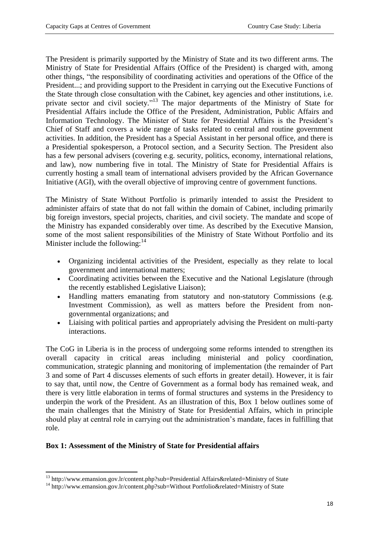The President is primarily supported by the Ministry of State and its two different arms. The Ministry of State for Presidential Affairs (Office of the President) is charged with, among other things, "the responsibility of coordinating activities and operations of the Office of the President...; and providing support to the President in carrying out the Executive Functions of the State through close consultation with the Cabinet, key agencies and other institutions, i.e. private sector and civil society."<sup>13</sup> The major departments of the Ministry of State for Presidential Affairs include the Office of the President, Administration, Public Affairs and Information Technology. The Minister of State for Presidential Affairs is the President's Chief of Staff and covers a wide range of tasks related to central and routine government activities. In addition, the President has a Special Assistant in her personal office, and there is a Presidential spokesperson, a Protocol section, and a Security Section. The President also has a few personal advisers (covering e.g. security, politics, economy, international relations, and law), now numbering five in total. The Ministry of State for Presidential Affairs is currently hosting a small team of international advisers provided by the African Governance Initiative (AGI), with the overall objective of improving centre of government functions.

The Ministry of State Without Portfolio is primarily intended to assist the President to administer affairs of state that do not fall within the domain of Cabinet, including primarily big foreign investors, special projects, charities, and civil society. The mandate and scope of the Ministry has expanded considerably over time. As described by the Executive Mansion, some of the most salient responsibilities of the Ministry of State Without Portfolio and its Minister include the following: $14$ 

- Organizing incidental activities of the President, especially as they relate to local government and international matters;
- Coordinating activities between the Executive and the National Legislature (through the recently established Legislative Liaison);
- Handling matters emanating from statutory and non-statutory Commissions (e.g. Investment Commission), as well as matters before the President from nongovernmental organizations; and
- Liaising with political parties and appropriately advising the President on multi-party interactions.

The CoG in Liberia is in the process of undergoing some reforms intended to strengthen its overall capacity in critical areas including ministerial and policy coordination, communication, strategic planning and monitoring of implementation (the remainder of Part 3 and some of Part 4 discusses elements of such efforts in greater detail). However, it is fair to say that, until now, the Centre of Government as a formal body has remained weak, and there is very little elaboration in terms of formal structures and systems in the Presidency to underpin the work of the President. As an illustration of this, Box 1 below outlines some of the main challenges that the Ministry of State for Presidential Affairs, which in principle should play at central role in carrying out the administration's mandate, faces in fulfilling that role.

## **Box 1: Assessment of the Ministry of State for Presidential affairs**

**<sup>.</sup>** <sup>13</sup> http://www.emansion.gov.lr/content.php?sub=Presidential Affairs&related=Ministry of State

<sup>&</sup>lt;sup>14</sup> http://www.emansion.gov.lr/content.php?sub=Without Portfolio&related=Ministry of State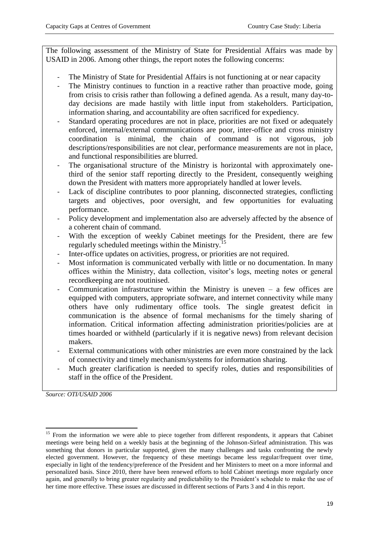The following assessment of the Ministry of State for Presidential Affairs was made by USAID in 2006. Among other things, the report notes the following concerns:

- The Ministry of State for Presidential Affairs is not functioning at or near capacity
- The Ministry continues to function in a reactive rather than proactive mode, going from crisis to crisis rather than following a defined agenda. As a result, many day-today decisions are made hastily with little input from stakeholders. Participation, information sharing, and accountability are often sacrificed for expediency.
- Standard operating procedures are not in place, priorities are not fixed or adequately enforced, internal/external communications are poor, inter-office and cross ministry coordination is minimal, the chain of command is not vigorous, job descriptions/responsibilities are not clear, performance measurements are not in place, and functional responsibilities are blurred.
- The organisational structure of the Ministry is horizontal with approximately onethird of the senior staff reporting directly to the President, consequently weighing down the President with matters more appropriately handled at lower levels.
- Lack of discipline contributes to poor planning, disconnected strategies, conflicting targets and objectives, poor oversight, and few opportunities for evaluating performance.
- Policy development and implementation also are adversely affected by the absence of a coherent chain of command.
- With the exception of weekly Cabinet meetings for the President, there are few regularly scheduled meetings within the Ministry.<sup>15</sup>
- Inter-office updates on activities, progress, or priorities are not required.
- Most information is communicated verbally with little or no documentation. In many offices within the Ministry, data collection, visitor's logs, meeting notes or general recordkeeping are not routinised.
- Communication infrastructure within the Ministry is uneven  $-$  a few offices are equipped with computers, appropriate software, and internet connectivity while many others have only rudimentary office tools. The single greatest deficit in communication is the absence of formal mechanisms for the timely sharing of information. Critical information affecting administration priorities/policies are at times hoarded or withheld (particularly if it is negative news) from relevant decision makers.
- External communications with other ministries are even more constrained by the lack of connectivity and timely mechanism/systems for information sharing.
- Much greater clarification is needed to specify roles, duties and responsibilities of staff in the office of the President.

*Source: OTI/USAID 2006*

**<sup>.</sup>** <sup>15</sup> From the information we were able to piece together from different respondents, it appears that Cabinet meetings were being held on a weekly basis at the beginning of the Johnson-Sirleaf administration. This was something that donors in particular supported, given the many challenges and tasks confronting the newly elected government. However, the frequency of these meetings became less regular/frequent over time, especially in light of the tendency/preference of the President and her Ministers to meet on a more informal and personalized basis. Since 2010, there have been renewed efforts to hold Cabinet meetings more regularly once again, and generally to bring greater regularity and predictability to the President's schedule to make the use of her time more effective. These issues are discussed in different sections of Parts 3 and 4 in this report.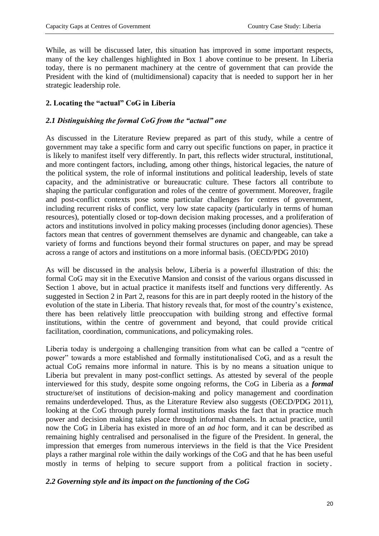While, as will be discussed later, this situation has improved in some important respects, many of the key challenges highlighted in Box 1 above continue to be present. In Liberia today, there is no permanent machinery at the centre of government that can provide the President with the kind of (multidimensional) capacity that is needed to support her in her strategic leadership role.

## **2. Locating the "actual" CoG in Liberia**

## *2.1 Distinguishing the formal CoG from the "actual" one*

As discussed in the Literature Review prepared as part of this study, while a centre of government may take a specific form and carry out specific functions on paper, in practice it is likely to manifest itself very differently. In part, this reflects wider structural, institutional, and more contingent factors, including, among other things, historical legacies, the nature of the political system, the role of informal institutions and political leadership, levels of state capacity, and the administrative or bureaucratic culture. These factors all contribute to shaping the particular configuration and roles of the centre of government. Moreover, fragile and post-conflict contexts pose some particular challenges for centres of government, including recurrent risks of conflict, very low state capacity (particularly in terms of human resources), potentially closed or top-down decision making processes, and a proliferation of actors and institutions involved in policy making processes (including donor agencies). These factors mean that centres of government themselves are dynamic and changeable, can take a variety of forms and functions beyond their formal structures on paper, and may be spread across a range of actors and institutions on a more informal basis. (OECD/PDG 2010)

As will be discussed in the analysis below, Liberia is a powerful illustration of this: the formal CoG may sit in the Executive Mansion and consist of the various organs discussed in Section 1 above, but in actual practice it manifests itself and functions very differently. As suggested in Section 2 in Part 2, reasons for this are in part deeply rooted in the history of the evolution of the state in Liberia. That history reveals that, for most of the country's existence, there has been relatively little preoccupation with building strong and effective formal institutions, within the centre of government and beyond, that could provide critical facilitation, coordination, communications, and policymaking roles.

Liberia today is undergoing a challenging transition from what can be called a "centre of power" towards a more established and formally institutionalised CoG, and as a result the actual CoG remains more informal in nature. This is by no means a situation unique to Liberia but prevalent in many post-conflict settings. As attested by several of the people interviewed for this study, despite some ongoing reforms, the CoG in Liberia as a *formal* structure/set of institutions of decision-making and policy management and coordination remains underdeveloped. Thus, as the Literature Review also suggests (OECD/PDG 2011), looking at the CoG through purely formal institutions masks the fact that in practice much power and decision making takes place through informal channels. In actual practice, until now the CoG in Liberia has existed in more of an *ad hoc* form, and it can be described as remaining highly centralised and personalised in the figure of the President. In general, the impression that emerges from numerous interviews in the field is that the Vice President plays a rather marginal role within the daily workings of the CoG and that he has been useful mostly in terms of helping to secure support from a political fraction in society.

## *2.2 Governing style and its impact on the functioning of the CoG*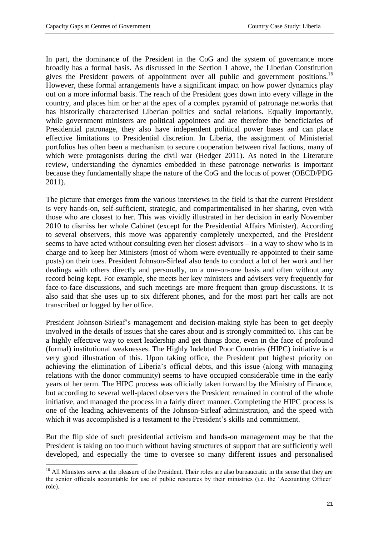1

In part, the dominance of the President in the CoG and the system of governance more broadly has a formal basis. As discussed in the Section 1 above, the Liberian Constitution gives the President powers of appointment over all public and government positions.<sup>16</sup> However, these formal arrangements have a significant impact on how power dynamics play out on a more informal basis. The reach of the President goes down into every village in the country, and places him or her at the apex of a complex pyramid of patronage networks that has historically characterised Liberian politics and social relations. Equally importantly, while government ministers are political appointees and are therefore the beneficiaries of Presidential patronage, they also have independent political power bases and can place effective limitations to Presidential discretion. In Liberia, the assignment of Ministerial portfolios has often been a mechanism to secure cooperation between rival factions, many of which were protagonists during the civil war (Hedger 2011). As noted in the Literature review, understanding the dynamics embedded in these patronage networks is important because they fundamentally shape the nature of the CoG and the locus of power (OECD/PDG 2011).

The picture that emerges from the various interviews in the field is that the current President is very hands-on, self-sufficient, strategic, and compartmentalised in her sharing, even with those who are closest to her. This was vividly illustrated in her decision in early November 2010 to dismiss her whole Cabinet (except for the Presidential Affairs Minister). According to several observers, this move was apparently completely unexpected, and the President seems to have acted without consulting even her closest advisors – in a way to show who is in charge and to keep her Ministers (most of whom were eventually re-appointed to their same posts) on their toes. President Johnson-Sirleaf also tends to conduct a lot of her work and her dealings with others directly and personally, on a one-on-one basis and often without any record being kept. For example, she meets her key ministers and advisers very frequently for face-to-face discussions, and such meetings are more frequent than group discussions. It is also said that she uses up to six different phones, and for the most part her calls are not transcribed or logged by her office.

President Johnson-Sirleaf's management and decision-making style has been to get deeply involved in the details of issues that she cares about and is strongly committed to. This can be a highly effective way to exert leadership and get things done, even in the face of profound (formal) institutional weaknesses. The Highly Indebted Poor Countries (HIPC) initiative is a very good illustration of this. Upon taking office, the President put highest priority on achieving the elimination of Liberia's official debts, and this issue (along with managing relations with the donor community) seems to have occupied considerable time in the early years of her term. The HIPC process was officially taken forward by the Ministry of Finance, but according to several well-placed observers the President remained in control of the whole initiative, and managed the process in a fairly direct manner. Completing the HIPC process is one of the leading achievements of the Johnson-Sirleaf administration, and the speed with which it was accomplished is a testament to the President's skills and commitment.

But the flip side of such presidential activism and hands-on management may be that the President is taking on too much without having structures of support that are sufficiently well developed, and especially the time to oversee so many different issues and personalised

<sup>&</sup>lt;sup>16</sup> All Ministers serve at the pleasure of the President. Their roles are also bureaucratic in the sense that they are the senior officials accountable for use of public resources by their ministries (i.e. the 'Accounting Officer' role).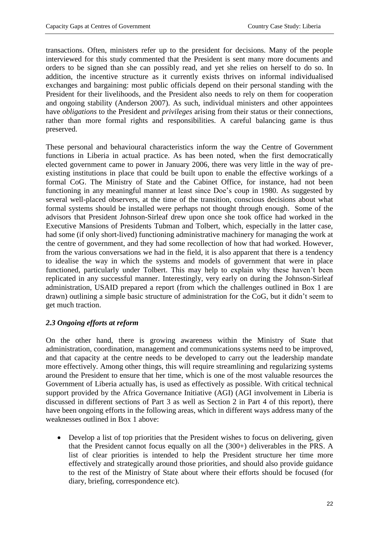transactions. Often, ministers refer up to the president for decisions. Many of the people interviewed for this study commented that the President is sent many more documents and orders to be signed than she can possibly read, and yet she relies on herself to do so. In addition, the incentive structure as it currently exists thrives on informal individualised exchanges and bargaining: most public officials depend on their personal standing with the President for their livelihoods, and the President also needs to rely on them for cooperation and ongoing stability (Anderson 2007). As such, individual ministers and other appointees have *obligations* to the President and *privileges* arising from their status or their connections, rather than more formal rights and responsibilities. A careful balancing game is thus preserved.

These personal and behavioural characteristics inform the way the Centre of Government functions in Liberia in actual practice. As has been noted, when the first democratically elected government came to power in January 2006, there was very little in the way of preexisting institutions in place that could be built upon to enable the effective workings of a formal CoG. The Ministry of State and the Cabinet Office, for instance, had not been functioning in any meaningful manner at least since Doe's coup in 1980. As suggested by several well-placed observers, at the time of the transition, conscious decisions about what formal systems should be installed were perhaps not thought through enough. Some of the advisors that President Johnson-Sirleaf drew upon once she took office had worked in the Executive Mansions of Presidents Tubman and Tolbert, which, especially in the latter case, had some (if only short-lived) functioning administrative machinery for managing the work at the centre of government, and they had some recollection of how that had worked. However, from the various conversations we had in the field, it is also apparent that there is a tendency to idealise the way in which the systems and models of government that were in place functioned, particularly under Tolbert. This may help to explain why these haven't been replicated in any successful manner. Interestingly, very early on during the Johnson-Sirleaf administration, USAID prepared a report (from which the challenges outlined in Box 1 are drawn) outlining a simple basic structure of administration for the CoG, but it didn't seem to get much traction.

## *2.3 Ongoing efforts at reform*

On the other hand, there is growing awareness within the Ministry of State that administration, coordination, management and communications systems need to be improved, and that capacity at the centre needs to be developed to carry out the leadership mandate more effectively. Among other things, this will require streamlining and regularizing systems around the President to ensure that her time, which is one of the most valuable resources the Government of Liberia actually has, is used as effectively as possible. With critical technical support provided by the Africa Governance Initiative (AGI) (AGI involvement in Liberia is discussed in different sections of Part 3 as well as Section 2 in Part 4 of this report), there have been ongoing efforts in the following areas, which in different ways address many of the weaknesses outlined in Box 1 above:

 Develop a list of top priorities that the President wishes to focus on delivering, given that the President cannot focus equally on all the (300+) deliverables in the PRS. A list of clear priorities is intended to help the President structure her time more effectively and strategically around those priorities, and should also provide guidance to the rest of the Ministry of State about where their efforts should be focused (for diary, briefing, correspondence etc).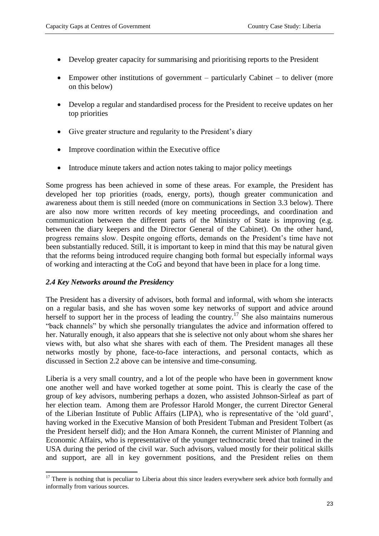- Develop greater capacity for summarising and prioritising reports to the President
- Empower other institutions of government particularly Cabinet to deliver (more on this below)
- Develop a regular and standardised process for the President to receive updates on her top priorities
- Give greater structure and regularity to the President's diary
- Improve coordination within the Executive office
- Introduce minute takers and action notes taking to major policy meetings

Some progress has been achieved in some of these areas. For example, the President has developed her top priorities (roads, energy, ports), though greater communication and awareness about them is still needed (more on communications in Section 3.3 below). There are also now more written records of key meeting proceedings, and coordination and communication between the different parts of the Ministry of State is improving (e.g. between the diary keepers and the Director General of the Cabinet). On the other hand, progress remains slow. Despite ongoing efforts, demands on the President's time have not been substantially reduced. Still, it is important to keep in mind that this may be natural given that the reforms being introduced require changing both formal but especially informal ways of working and interacting at the CoG and beyond that have been in place for a long time.

#### *2.4 Key Networks around the Presidency*

The President has a diversity of advisors, both formal and informal, with whom she interacts on a regular basis, and she has woven some key networks of support and advice around herself to support her in the process of leading the country.<sup>17</sup> She also maintains numerous "back channels" by which she personally triangulates the advice and information offered to her. Naturally enough, it also appears that she is selective not only about whom she shares her views with, but also what she shares with each of them. The President manages all these networks mostly by phone, face-to-face interactions, and personal contacts, which as discussed in Section 2.2 above can be intensive and time-consuming.

Liberia is a very small country, and a lot of the people who have been in government know one another well and have worked together at some point. This is clearly the case of the group of key advisors, numbering perhaps a dozen, who assisted Johnson-Sirleaf as part of her election team. Among them are Professor Harold Monger, the current Director General of the Liberian Institute of Public Affairs (LIPA), who is representative of the 'old guard', having worked in the Executive Mansion of both President Tubman and President Tolbert (as the President herself did); and the Hon Amara Konneh, the current Minister of Planning and Economic Affairs, who is representative of the younger technocratic breed that trained in the USA during the period of the civil war. Such advisors, valued mostly for their political skills and support, are all in key government positions, and the President relies on them

**<sup>.</sup>**  $17$  There is nothing that is peculiar to Liberia about this since leaders everywhere seek advice both formally and informally from various sources.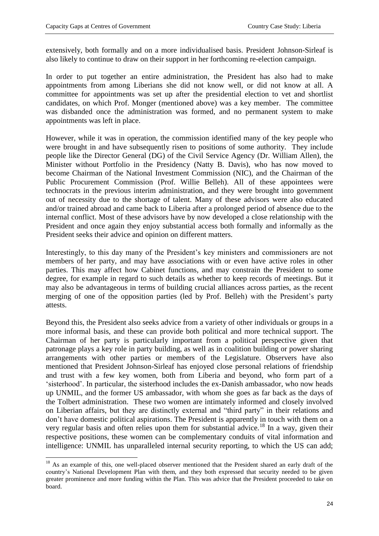**.** 

extensively, both formally and on a more individualised basis. President Johnson-Sirleaf is also likely to continue to draw on their support in her forthcoming re-election campaign.

In order to put together an entire administration, the President has also had to make appointments from among Liberians she did not know well, or did not know at all. A committee for appointments was set up after the presidential election to vet and shortlist candidates, on which Prof. Monger (mentioned above) was a key member. The committee was disbanded once the administration was formed, and no permanent system to make appointments was left in place.

However, while it was in operation, the commission identified many of the key people who were brought in and have subsequently risen to positions of some authority. They include people like the Director General (DG) of the Civil Service Agency (Dr. William Allen), the Minister without Portfolio in the Presidency (Natty B. Davis), who has now moved to become Chairman of the National Investment Commission (NIC), and the Chairman of the Public Procurement Commission (Prof. Willie Belleh). All of these appointees were technocrats in the previous interim administration, and they were brought into government out of necessity due to the shortage of talent. Many of these advisors were also educated and/or trained abroad and came back to Liberia after a prolonged period of absence due to the internal conflict. Most of these advisors have by now developed a close relationship with the President and once again they enjoy substantial access both formally and informally as the President seeks their advice and opinion on different matters.

Interestingly, to this day many of the President's key ministers and commissioners are not members of her party, and may have associations with or even have active roles in other parties. This may affect how Cabinet functions, and may constrain the President to some degree, for example in regard to such details as whether to keep records of meetings. But it may also be advantageous in terms of building crucial alliances across parties, as the recent merging of one of the opposition parties (led by Prof. Belleh) with the President's party attests.

Beyond this, the President also seeks advice from a variety of other individuals or groups in a more informal basis, and these can provide both political and more technical support. The Chairman of her party is particularly important from a political perspective given that patronage plays a key role in party building, as well as in coalition building or power sharing arrangements with other parties or members of the Legislature. Observers have also mentioned that President Johnson-Sirleaf has enjoyed close personal relations of friendship and trust with a few key women, both from Liberia and beyond, who form part of a 'sisterhood'. In particular, the sisterhood includes the ex-Danish ambassador, who now heads up UNMIL, and the former US ambassador, with whom she goes as far back as the days of the Tolbert administration. These two women are intimately informed and closely involved on Liberian affairs, but they are distinctly external and "third party" in their relations and don't have domestic political aspirations. The President is apparently in touch with them on a very regular basis and often relies upon them for substantial advice.<sup>18</sup> In a way, given their respective positions, these women can be complementary conduits of vital information and intelligence: UNMIL has unparalleled internal security reporting, to which the US can add;

<sup>&</sup>lt;sup>18</sup> As an example of this, one well-placed observer mentioned that the President shared an early draft of the country's National Development Plan with them, and they both expressed that security needed to be given greater prominence and more funding within the Plan. This was advice that the President proceeded to take on board.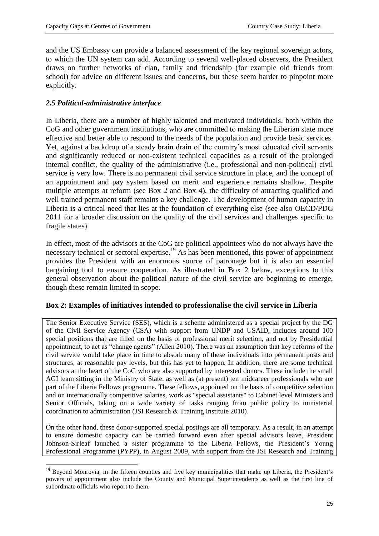and the US Embassy can provide a balanced assessment of the key regional sovereign actors, to which the UN system can add. According to several well-placed observers, the President draws on further networks of clan, family and friendship (for example old friends from school) for advice on different issues and concerns, but these seem harder to pinpoint more explicitly.

## *2.5 Political-administrative interface*

In Liberia, there are a number of highly talented and motivated individuals, both within the CoG and other government institutions, who are committed to making the Liberian state more effective and better able to respond to the needs of the population and provide basic services. Yet, against a backdrop of a steady brain drain of the country's most educated civil servants and significantly reduced or non-existent technical capacities as a result of the prolonged internal conflict, the quality of the administrative (i.e., professional and non-political) civil service is very low. There is no permanent civil service structure in place, and the concept of an appointment and pay system based on merit and experience remains shallow. Despite multiple attempts at reform (see Box 2 and Box 4), the difficulty of attracting qualified and well trained permanent staff remains a key challenge. The development of human capacity in Liberia is a critical need that lies at the foundation of everything else (see also OECD/PDG 2011 for a broader discussion on the quality of the civil services and challenges specific to fragile states).

In effect, most of the advisors at the CoG are political appointees who do not always have the necessary technical or sectoral expertise.<sup>19</sup> As has been mentioned, this power of appointment provides the President with an enormous source of patronage but it is also an essential bargaining tool to ensure cooperation. As illustrated in Box 2 below, exceptions to this general observation about the political nature of the civil service are beginning to emerge, though these remain limited in scope.

## **Box 2: Examples of initiatives intended to professionalise the civil service in Liberia**

The Senior Executive Service (SES), which is a scheme administered as a special project by the DG of the Civil Service Agency (CSA) with support from UNDP and USAID, includes around 100 special positions that are filled on the basis of professional merit selection, and not by Presidential appointment, to act as "change agents" (Allen 2010). There was an assumption that key reforms of the civil service would take place in time to absorb many of these individuals into permanent posts and structures, at reasonable pay levels, but this has yet to happen. In addition, there are some technical advisors at the heart of the CoG who are also supported by interested donors. These include the small AGI team sitting in the Ministry of State, as well as (at present) ten midcareer professionals who are part of the Liberia Fellows programme. These fellows, appointed on the basis of competitive selection and on internationally competitive salaries, work as "special assistants" to Cabinet level Ministers and Senior Officials, taking on a wide variety of tasks ranging from public policy to ministerial coordination to administration (JSI Research & Training Institute 2010).

On the other hand, these donor-supported special postings are all temporary. As a result, in an attempt to ensure domestic capacity can be carried forward even after special advisors leave, President Johnson-Sirleaf launched a sister programme to the Liberia Fellows, the President's Young Professional Programme (PYPP), in August 2009, with support from the JSI Research and Training

<sup>1</sup> <sup>19</sup> Beyond Monrovia, in the fifteen counties and five key municipalities that make up Liberia, the President's powers of appointment also include the County and Municipal Superintendents as well as the first line of subordinate officials who report to them.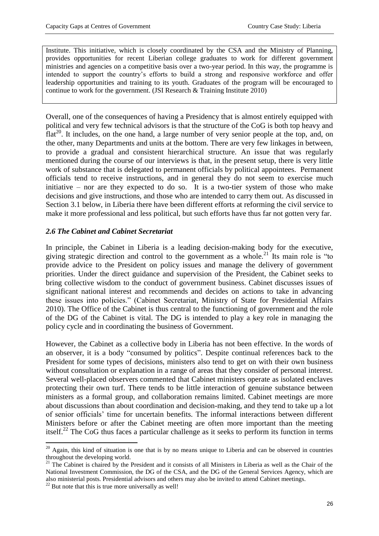Institute. This initiative, which is closely coordinated by the CSA and the Ministry of Planning, provides opportunities for recent Liberian college graduates to work for different government ministries and agencies on a competitive basis over a two-year period. In this way, the programme is intended to support the country's efforts to build a strong and responsive workforce and offer leadership opportunities and training to its youth. Graduates of the program will be encouraged to continue to work for the government. (JSI Research & Training Institute 2010)

Overall, one of the consequences of having a Presidency that is almost entirely equipped with political and very few technical advisors is that the structure of the CoG is both top heavy and  $flat<sup>20</sup>$ . It includes, on the one hand, a large number of very senior people at the top, and, on the other, many Departments and units at the bottom. There are very few linkages in between, to provide a gradual and consistent hierarchical structure. An issue that was regularly mentioned during the course of our interviews is that, in the present setup, there is very little work of substance that is delegated to permanent officials by political appointees. Permanent officials tend to receive instructions, and in general they do not seem to exercise much initiative – nor are they expected to do so. It is a two-tier system of those who make decisions and give instructions, and those who are intended to carry them out. As discussed in Section 3.1 below, in Liberia there have been different efforts at reforming the civil service to make it more professional and less political, but such efforts have thus far not gotten very far.

#### *2.6 The Cabinet and Cabinet Secretariat*

In principle, the Cabinet in Liberia is a leading decision-making body for the executive, giving strategic direction and control to the government as a whole.<sup>21</sup> Its main role is "to provide advice to the President on policy issues and manage the delivery of government priorities. Under the direct guidance and supervision of the President, the Cabinet seeks to bring collective wisdom to the conduct of government business. Cabinet discusses issues of significant national interest and recommends and decides on actions to take in advancing these issues into policies." (Cabinet Secretariat, Ministry of State for Presidential Affairs 2010). The Office of the Cabinet is thus central to the functioning of government and the role of the DG of the Cabinet is vital. The DG is intended to play a key role in managing the policy cycle and in coordinating the business of Government.

However, the Cabinet as a collective body in Liberia has not been effective. In the words of an observer, it is a body "consumed by politics". Despite continual references back to the President for some types of decisions, ministers also tend to get on with their own business without consultation or explanation in a range of areas that they consider of personal interest. Several well-placed observers commented that Cabinet ministers operate as isolated enclaves protecting their own turf. There tends to be little interaction of genuine substance between ministers as a formal group, and collaboration remains limited. Cabinet meetings are more about discussions than about coordination and decision-making, and they tend to take up a lot of senior officials' time for uncertain benefits. The informal interactions between different Ministers before or after the Cabinet meeting are often more important than the meeting itself.<sup>22</sup> The CoG thus faces a particular challenge as it seeks to perform its function in terms

1

 $20$  Again, this kind of situation is one that is by no means unique to Liberia and can be observed in countries throughout the developing world.

<sup>&</sup>lt;sup>21</sup> The Cabinet is chaired by the President and it consists of all Ministers in Liberia as well as the Chair of the National Investment Commission, the DG of the CSA, and the DG of the General Services Agency, which are also ministerial posts. Presidential advisors and others may also be invited to attend Cabinet meetings.

 $22$  But note that this is true more universally as well!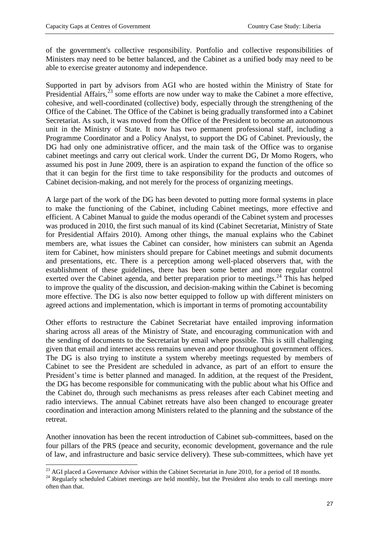of the government's collective responsibility. Portfolio and collective responsibilities of Ministers may need to be better balanced, and the Cabinet as a unified body may need to be able to exercise greater autonomy and independence.

Supported in part by advisors from AGI who are hosted within the Ministry of State for Presidential Affairs, $^{23}$  some efforts are now under way to make the Cabinet a more effective, cohesive, and well-coordinated (collective) body, especially through the strengthening of the Office of the Cabinet. The Office of the Cabinet is being gradually transformed into a Cabinet Secretariat. As such, it was moved from the Office of the President to become an autonomous unit in the Ministry of State. It now has two permanent professional staff, including a Programme Coordinator and a Policy Analyst, to support the DG of Cabinet. Previously, the DG had only one administrative officer, and the main task of the Office was to organise cabinet meetings and carry out clerical work. Under the current DG, Dr Momo Rogers, who assumed his post in June 2009, there is an aspiration to expand the function of the office so that it can begin for the first time to take responsibility for the products and outcomes of Cabinet decision-making, and not merely for the process of organizing meetings.

A large part of the work of the DG has been devoted to putting more formal systems in place to make the functioning of the Cabinet, including Cabinet meetings, more effective and efficient. A Cabinet Manual to guide the modus operandi of the Cabinet system and processes was produced in 2010, the first such manual of its kind (Cabinet Secretariat, Ministry of State for Presidential Affairs 2010). Among other things, the manual explains who the Cabinet members are, what issues the Cabinet can consider, how ministers can submit an Agenda item for Cabinet, how ministers should prepare for Cabinet meetings and submit documents and presentations, etc. There is a perception among well-placed observers that, with the establishment of these guidelines, there has been some better and more regular control exerted over the Cabinet agenda, and better preparation prior to meetings.<sup>24</sup> This has helped to improve the quality of the discussion, and decision-making within the Cabinet is becoming more effective. The DG is also now better equipped to follow up with different ministers on agreed actions and implementation, which is important in terms of promoting accountability

Other efforts to restructure the Cabinet Secretariat have entailed improving information sharing across all areas of the Ministry of State, and encouraging communication with and the sending of documents to the Secretariat by email where possible. This is still challenging given that email and internet access remains uneven and poor throughout government offices. The DG is also trying to institute a system whereby meetings requested by members of Cabinet to see the President are scheduled in advance, as part of an effort to ensure the President's time is better planned and managed. In addition, at the request of the President, the DG has become responsible for communicating with the public about what his Office and the Cabinet do, through such mechanisms as press releases after each Cabinet meeting and radio interviews. The annual Cabinet retreats have also been changed to encourage greater coordination and interaction among Ministers related to the planning and the substance of the retreat.

Another innovation has been the recent introduction of Cabinet sub-committees, based on the four pillars of the PRS (peace and security, economic development, governance and the rule of law, and infrastructure and basic service delivery). These sub-committees, which have yet

1

 $^{23}$  AGI placed a Governance Advisor within the Cabinet Secretariat in June 2010, for a period of 18 months.

<sup>&</sup>lt;sup>24</sup> Regularly scheduled Cabinet meetings are held monthly, but the President also tends to call meetings more often than that.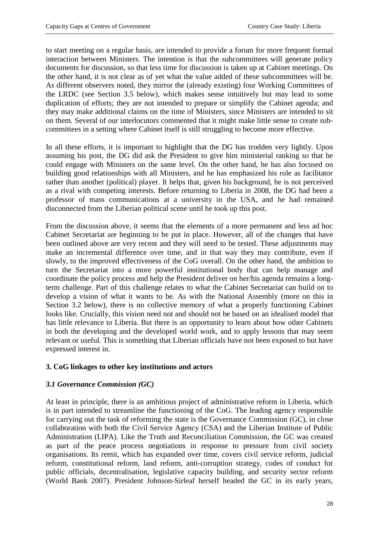to start meeting on a regular basis, are intended to provide a forum for more frequent formal interaction between Ministers. The intention is that the subcommittees will generate policy documents for discussion, so that less time for discussion is taken up at Cabinet meetings. On the other hand, it is not clear as of yet what the value added of these subcommittees will be. As different observers noted, they mirror the (already existing) four Working Committees of the LRDC (see Section 3.5 below), which makes sense intuitively but may lead to some duplication of efforts; they are not intended to prepare or simplify the Cabinet agenda; and they may make additional claims on the time of Ministers, since Ministers are intended to sit on them. Several of our interlocutors commented that it might make little sense to create subcommittees in a setting where Cabinet itself is still struggling to become more effective.

In all these efforts, it is important to highlight that the DG has trodden very lightly. Upon assuming his post, the DG did ask the President to give him ministerial ranking so that he could engage with Ministers on the same level. On the other hand, he has also focused on building good relationships with all Ministers, and he has emphasized his role as facilitator rather than another (political) player. It helps that, given his background, he is not perceived as a rival with competing interests. Before returning to Liberia in 2008, the DG had been a professor of mass communications at a university in the USA, and he had remained disconnected from the Liberian political scene until he took up this post.

From the discussion above, it seems that the elements of a more permanent and less ad hoc Cabinet Secretariat are beginning to be put in place. However, all of the changes that have been outlined above are very recent and they will need to be tested. These adjustments may make an incremental difference over time, and in that way they may contribute, even if slowly, to the improved effectiveness of the CoG overall. On the other hand, the ambition to turn the Secretariat into a more powerful institutional body that can help manage and coordinate the policy process and help the President deliver on her/his agenda remains a longterm challenge. Part of this challenge relates to what the Cabinet Secretariat can build on to develop a vision of what it wants to be. As with the National Assembly (more on this in Section 3.2 below), there is no collective memory of what a properly functioning Cabinet looks like. Crucially, this vision need not and should not be based on an idealised model that has little relevance to Liberia. But there is an opportunity to learn about how other Cabinets in both the developing and the developed world work, and to apply lessons that may seem relevant or useful. This is something that Liberian officials have not been exposed to but have expressed interest in.

## **3. CoG linkages to other key institutions and actors**

# *3.1 Governance Commission (GC)*

At least in principle, there is an ambitious project of administrative reform in Liberia, which is in part intended to streamline the functioning of the CoG. The leading agency responsible for carrying out the task of reforming the state is the Governance Commission (GC), in close collaboration with both the Civil Service Agency (CSA) and the Liberian Institute of Public Administration (LIPA). Like the Truth and Reconciliation Commission, the GC was created as part of the peace process negotiations in response to pressure from civil society organisations. Its remit, which has expanded over time, covers civil service reform, judicial reform, constitutional reform, land reform, anti-corruption strategy, codes of conduct for public officials, decentralisation, legislative capacity building, and security sector reform (World Bank 2007). President Johnson-Sirleaf herself headed the GC in its early years,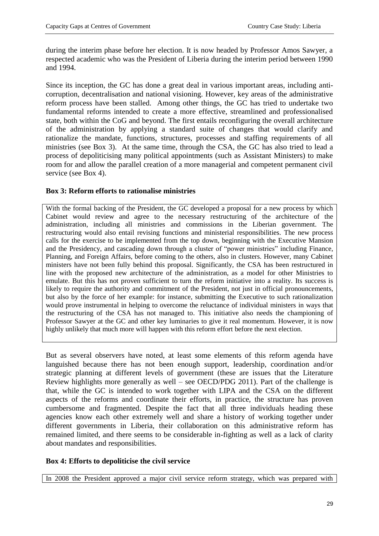during the interim phase before her election. It is now headed by Professor Amos Sawyer, a respected academic who was the President of Liberia during the interim period between 1990 and 1994.

Since its inception, the GC has done a great deal in various important areas, including anticorruption, decentralisation and national visioning. However, key areas of the administrative reform process have been stalled. Among other things, the GC has tried to undertake two fundamental reforms intended to create a more effective, streamlined and professionalised state, both within the CoG and beyond. The first entails reconfiguring the overall architecture of the administration by applying a standard suite of changes that would clarify and rationalize the mandate, functions, structures, processes and staffing requirements of all ministries (see Box 3). At the same time, through the CSA, the GC has also tried to lead a process of depoliticising many political appointments (such as Assistant Ministers) to make room for and allow the parallel creation of a more managerial and competent permanent civil service (see Box 4).

#### **Box 3: Reform efforts to rationalise ministries**

With the formal backing of the President, the GC developed a proposal for a new process by which Cabinet would review and agree to the necessary restructuring of the architecture of the administration, including all ministries and commissions in the Liberian government. The restructuring would also entail revising functions and ministerial responsibilities. The new process calls for the exercise to be implemented from the top down, beginning with the Executive Mansion and the Presidency, and cascading down through a cluster of "power ministries" including Finance, Planning, and Foreign Affairs, before coming to the others, also in clusters. However, many Cabinet ministers have not been fully behind this proposal. Significantly, the CSA has been restructured in line with the proposed new architecture of the administration, as a model for other Ministries to emulate. But this has not proven sufficient to turn the reform initiative into a reality. Its success is likely to require the authority and commitment of the President, not just in official pronouncements, but also by the force of her example: for instance, submitting the Executive to such rationalization would prove instrumental in helping to overcome the reluctance of individual ministers in ways that the restructuring of the CSA has not managed to. This initiative also needs the championing of Professor Sawyer at the GC and other key luminaries to give it real momentum. However, it is now highly unlikely that much more will happen with this reform effort before the next election.

But as several observers have noted, at least some elements of this reform agenda have languished because there has not been enough support, leadership, coordination and/or strategic planning at different levels of government (these are issues that the Literature Review highlights more generally as well – see OECD/PDG 2011). Part of the challenge is that, while the GC is intended to work together with LIPA and the CSA on the different aspects of the reforms and coordinate their efforts, in practice, the structure has proven cumbersome and fragmented. Despite the fact that all three individuals heading these agencies know each other extremely well and share a history of working together under different governments in Liberia, their collaboration on this administrative reform has remained limited, and there seems to be considerable in-fighting as well as a lack of clarity about mandates and responsibilities.

## **Box 4: Efforts to depoliticise the civil service**

In 2008 the President approved a major civil service reform strategy, which was prepared with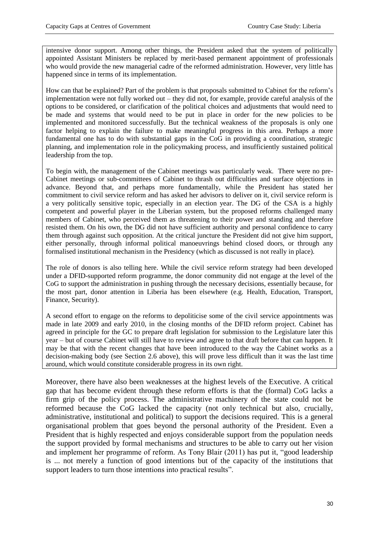intensive donor support. Among other things, the President asked that the system of politically appointed Assistant Ministers be replaced by merit-based permanent appointment of professionals who would provide the new managerial cadre of the reformed administration. However, very little has happened since in terms of its implementation.

How can that be explained? Part of the problem is that proposals submitted to Cabinet for the reform's implementation were not fully worked out – they did not, for example, provide careful analysis of the options to be considered, or clarification of the political choices and adjustments that would need to be made and systems that would need to be put in place in order for the new policies to be implemented and monitored successfully. But the technical weakness of the proposals is only one factor helping to explain the failure to make meaningful progress in this area. Perhaps a more fundamental one has to do with substantial gaps in the CoG in providing a coordination, strategic planning, and implementation role in the policymaking process, and insufficiently sustained political leadership from the top.

To begin with, the management of the Cabinet meetings was particularly weak. There were no pre-Cabinet meetings or sub-committees of Cabinet to thrash out difficulties and surface objections in advance. Beyond that, and perhaps more fundamentally, while the President has stated her commitment to civil service reform and has asked her advisors to deliver on it, civil service reform is a very politically sensitive topic, especially in an election year. The DG of the CSA is a highly competent and powerful player in the Liberian system, but the proposed reforms challenged many members of Cabinet, who perceived them as threatening to their power and standing and therefore resisted them. On his own, the DG did not have sufficient authority and personal confidence to carry them through against such opposition. At the critical juncture the President did not give him support, either personally, through informal political manoeuvrings behind closed doors, or through any formalised institutional mechanism in the Presidency (which as discussed is not really in place).

The role of donors is also telling here. While the civil service reform strategy had been developed under a DFID-supported reform programme, the donor community did not engage at the level of the CoG to support the administration in pushing through the necessary decisions, essentially because, for the most part, donor attention in Liberia has been elsewhere (e.g. Health, Education, Transport, Finance, Security).

A second effort to engage on the reforms to depoliticise some of the civil service appointments was made in late 2009 and early 2010, in the closing months of the DFID reform project. Cabinet has agreed in principle for the GC to prepare draft legislation for submission to the Legislature later this year – but of course Cabinet will still have to review and agree to that draft before that can happen. It may be that with the recent changes that have been introduced to the way the Cabinet works as a decision-making body (see Section 2.6 above), this will prove less difficult than it was the last time around, which would constitute considerable progress in its own right.

Moreover, there have also been weaknesses at the highest levels of the Executive. A critical gap that has become evident through these reform efforts is that the (formal) CoG lacks a firm grip of the policy process. The administrative machinery of the state could not be reformed because the CoG lacked the capacity (not only technical but also, crucially, administrative, institutional and political) to support the decisions required. This is a general organisational problem that goes beyond the personal authority of the President. Even a President that is highly respected and enjoys considerable support from the population needs the support provided by formal mechanisms and structures to be able to carry out her vision and implement her programme of reform. As Tony Blair (2011) has put it, "good leadership is ... not merely a function of good intentions but of the capacity of the institutions that support leaders to turn those intentions into practical results".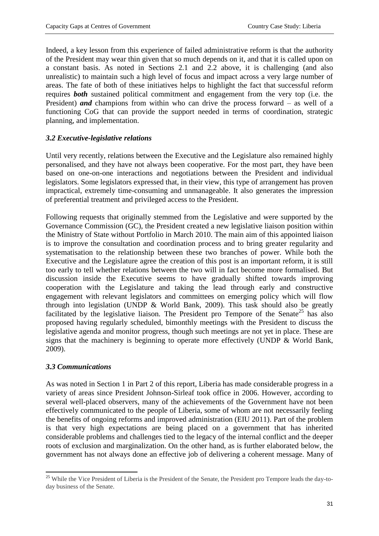Indeed, a key lesson from this experience of failed administrative reform is that the authority of the President may wear thin given that so much depends on it, and that it is called upon on a constant basis. As noted in Sections 2.1 and 2.2 above, it is challenging (and also unrealistic) to maintain such a high level of focus and impact across a very large number of areas. The fate of both of these initiatives helps to highlight the fact that successful reform requires *both* sustained political commitment and engagement from the very top (i.e. the President) *and* champions from within who can drive the process forward – as well of a functioning CoG that can provide the support needed in terms of coordination, strategic planning, and implementation.

## *3.2 Executive-legislative relations*

Until very recently, relations between the Executive and the Legislature also remained highly personalised, and they have not always been cooperative. For the most part, they have been based on one-on-one interactions and negotiations between the President and individual legislators. Some legislators expressed that, in their view, this type of arrangement has proven impractical, extremely time-consuming and unmanageable. It also generates the impression of preferential treatment and privileged access to the President.

Following requests that originally stemmed from the Legislative and were supported by the Governance Commission (GC), the President created a new legislative liaison position within the Ministry of State without Portfolio in March 2010. The main aim of this appointed liaison is to improve the consultation and coordination process and to bring greater regularity and systematisation to the relationship between these two branches of power. While both the Executive and the Legislature agree the creation of this post is an important reform, it is still too early to tell whether relations between the two will in fact become more formalised. But discussion inside the Executive seems to have gradually shifted towards improving cooperation with the Legislature and taking the lead through early and constructive engagement with relevant legislators and committees on emerging policy which will flow through into legislation (UNDP & World Bank, 2009). This task should also be greatly facilitated by the legislative liaison. The President pro Tempore of the Senate<sup>25</sup> has also proposed having regularly scheduled, bimonthly meetings with the President to discuss the legislative agenda and monitor progress, though such meetings are not yet in place. These are signs that the machinery is beginning to operate more effectively (UNDP & World Bank, 2009).

## *3.3 Communications*

As was noted in Section 1 in Part 2 of this report, Liberia has made considerable progress in a variety of areas since President Johnson-Sirleaf took office in 2006. However, according to several well-placed observers, many of the achievements of the Government have not been effectively communicated to the people of Liberia, some of whom are not necessarily feeling the benefits of ongoing reforms and improved administration (EIU 2011). Part of the problem is that very high expectations are being placed on a government that has inherited considerable problems and challenges tied to the legacy of the internal conflict and the deeper roots of exclusion and marginalization. On the other hand, as is further elaborated below, the government has not always done an effective job of delivering a coherent message. Many of

**<sup>.</sup>** <sup>25</sup> While the Vice President of Liberia is the President of the Senate, the President pro Tempore leads the day-today business of the Senate.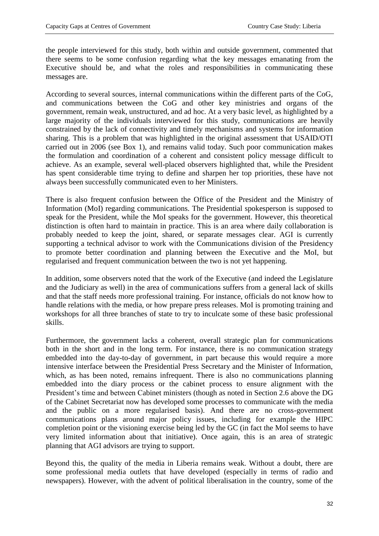the people interviewed for this study, both within and outside government, commented that there seems to be some confusion regarding what the key messages emanating from the Executive should be, and what the roles and responsibilities in communicating these messages are.

According to several sources, internal communications within the different parts of the CoG, and communications between the CoG and other key ministries and organs of the government, remain weak, unstructured, and ad hoc. At a very basic level, as highlighted by a large majority of the individuals interviewed for this study, communications are heavily constrained by the lack of connectivity and timely mechanisms and systems for information sharing. This is a problem that was highlighted in the original assessment that USAID/OTI carried out in 2006 (see Box 1), and remains valid today. Such poor communication makes the formulation and coordination of a coherent and consistent policy message difficult to achieve. As an example, several well-placed observers highlighted that, while the President has spent considerable time trying to define and sharpen her top priorities, these have not always been successfully communicated even to her Ministers.

There is also frequent confusion between the Office of the President and the Ministry of Information (MoI) regarding communications. The Presidential spokesperson is supposed to speak for the President, while the MoI speaks for the government. However, this theoretical distinction is often hard to maintain in practice. This is an area where daily collaboration is probably needed to keep the joint, shared, or separate messages clear. AGI is currently supporting a technical advisor to work with the Communications division of the Presidency to promote better coordination and planning between the Executive and the MoI, but regularised and frequent communication between the two is not yet happening.

In addition, some observers noted that the work of the Executive (and indeed the Legislature and the Judiciary as well) in the area of communications suffers from a general lack of skills and that the staff needs more professional training. For instance, officials do not know how to handle relations with the media, or how prepare press releases. MoI is promoting training and workshops for all three branches of state to try to inculcate some of these basic professional skills.

Furthermore, the government lacks a coherent, overall strategic plan for communications both in the short and in the long term. For instance, there is no communication strategy embedded into the day-to-day of government, in part because this would require a more intensive interface between the Presidential Press Secretary and the Minister of Information, which, as has been noted, remains infrequent. There is also no communications planning embedded into the diary process or the cabinet process to ensure alignment with the President's time and between Cabinet ministers (though as noted in Section 2.6 above the DG of the Cabinet Secretariat now has developed some processes to communicate with the media and the public on a more regularised basis). And there are no cross-government communications plans around major policy issues, including for example the HIPC completion point or the visioning exercise being led by the GC (in fact the MoI seems to have very limited information about that initiative). Once again, this is an area of strategic planning that AGI advisors are trying to support.

Beyond this, the quality of the media in Liberia remains weak. Without a doubt, there are some professional media outlets that have developed (especially in terms of radio and newspapers). However, with the advent of political liberalisation in the country, some of the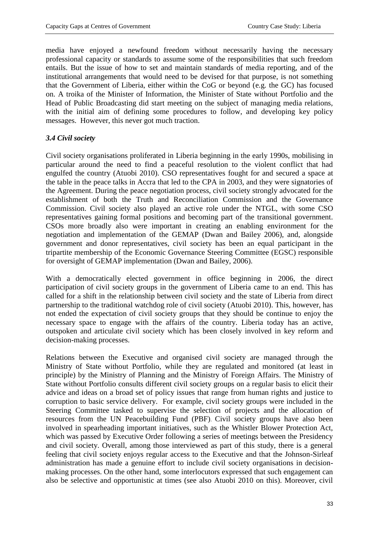media have enjoyed a newfound freedom without necessarily having the necessary professional capacity or standards to assume some of the responsibilities that such freedom entails. But the issue of how to set and maintain standards of media reporting, and of the institutional arrangements that would need to be devised for that purpose, is not something that the Government of Liberia, either within the CoG or beyond (e.g. the GC) has focused on. A troika of the Minister of Information, the Minister of State without Portfolio and the Head of Public Broadcasting did start meeting on the subject of managing media relations, with the initial aim of defining some procedures to follow, and developing key policy messages. However, this never got much traction.

## *3.4 Civil society*

Civil society organisations proliferated in Liberia beginning in the early 1990s, mobilising in particular around the need to find a peaceful resolution to the violent conflict that had engulfed the country (Atuobi 2010). CSO representatives fought for and secured a space at the table in the peace talks in Accra that led to the CPA in 2003, and they were signatories of the Agreement. During the peace negotiation process, civil society strongly advocated for the establishment of both the Truth and Reconciliation Commission and the Governance Commission. Civil society also played an active role under the NTGL, with some CSO representatives gaining formal positions and becoming part of the transitional government. CSOs more broadly also were important in creating an enabling environment for the negotiation and implementation of the GEMAP (Dwan and Bailey 2006), and, alongside government and donor representatives, civil society has been an equal participant in the tripartite membership of the Economic Governance Steering Committee (EGSC) responsible for oversight of GEMAP implementation (Dwan and Bailey, 2006).

With a democratically elected government in office beginning in 2006, the direct participation of civil society groups in the government of Liberia came to an end. This has called for a shift in the relationship between civil society and the state of Liberia from direct partnership to the traditional watchdog role of civil society (Atuobi 2010). This, however, has not ended the expectation of civil society groups that they should be continue to enjoy the necessary space to engage with the affairs of the country. Liberia today has an active, outspoken and articulate civil society which has been closely involved in key reform and decision-making processes.

Relations between the Executive and organised civil society are managed through the Ministry of State without Portfolio, while they are regulated and monitored (at least in principle) by the Ministry of Planning and the Ministry of Foreign Affairs. The Ministry of State without Portfolio consults different civil society groups on a regular basis to elicit their advice and ideas on a broad set of policy issues that range from human rights and justice to corruption to basic service delivery. For example, civil society groups were included in the Steering Committee tasked to supervise the selection of projects and the allocation of resources from the UN Peacebuilding Fund (PBF). Civil society groups have also been involved in spearheading important initiatives, such as the Whistler Blower Protection Act, which was passed by Executive Order following a series of meetings between the Presidency and civil society. Overall, among those interviewed as part of this study, there is a general feeling that civil society enjoys regular access to the Executive and that the Johnson-Sirleaf administration has made a genuine effort to include civil society organisations in decisionmaking processes. On the other hand, some interlocutors expressed that such engagement can also be selective and opportunistic at times (see also Atuobi 2010 on this). Moreover, civil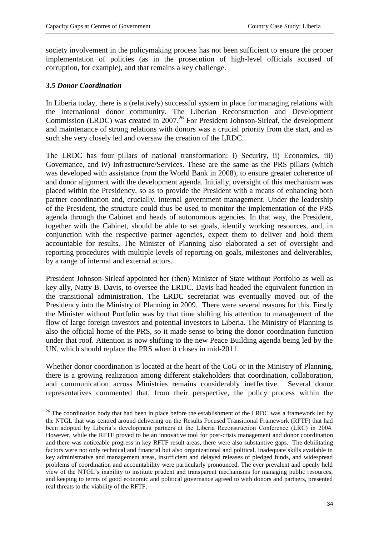society involvement in the policymaking process has not been sufficient to ensure the proper implementation of policies (as in the prosecution of high-level officials accused of corruption, for example), and that remains a key challenge.

## *3.5 Donor Coordination*

**.** 

In Liberia today, there is a (relatively) successful system in place for managing relations with the international donor community. The Liberian Reconstruction and Development Commission (LRDC) was created in  $2007<sup>26</sup>$  For President Johnson-Sirleaf, the development and maintenance of strong relations with donors was a crucial priority from the start, and as such she very closely led and oversaw the creation of the LRDC.

The LRDC has four pillars of national transformation: i) Security, ii) Economics, iii) Governance, and iv) Infrastructure/Services. These are the same as the PRS pillars (which was developed with assistance from the World Bank in 2008), to ensure greater coherence of and donor alignment with the development agenda. Initially, oversight of this mechanism was placed within the Presidency, so as to provide the President with a means of enhancing both partner coordination and, crucially, internal government management. Under the leadership of the President, the structure could thus be used to monitor the implementation of the PRS agenda through the Cabinet and heads of autonomous agencies. In that way, the President, together with the Cabinet, should be able to set goals, identify working resources, and, in conjunction with the respective partner agencies, expect them to deliver and hold them accountable for results. The Minister of Planning also elaborated a set of oversight and reporting procedures with multiple levels of reporting on goals, milestones and deliverables, by a range of internal and external actors.

President Johnson-Sirleaf appointed her (then) Minister of State without Portfolio as well as key ally, Natty B. Davis, to oversee the LRDC. Davis had headed the equivalent function in the transitional administration. The LRDC secretariat was eventually moved out of the Presidency into the Ministry of Planning in 2009. There were several reasons for this. Firstly the Minister without Portfolio was by that time shifting his attention to management of the flow of large foreign investors and potential investors to Liberia. The Ministry of Planning is also the official home of the PRS, so it made sense to bring the donor coordination function under that roof. Attention is now shifting to the new Peace Building agenda being led by the UN, which should replace the PRS when it closes in mid-2011.

Whether donor coordination is located at the heart of the CoG or in the Ministry of Planning, there is a growing realization among different stakeholders that coordination, collaboration, and communication across Ministries remains considerably ineffective. Several donor representatives commented that, from their perspective, the policy process within the

 $26$  The coordination body that had been in place before the establishment of the LRDC was a framework led by the NTGL that was centred around delivering on the Results Focused Transitional Framework (RFTF) that had been adopted by Liberia's development partners at the Liberia Reconstruction Conference (LRC) in 2004. However, while the RFTF proved to be an innovative tool for post-crisis management and donor coordination and there was noticeable progress in key RFTF result areas, there were also substantive gaps. The debilitating factors were not only technical and financial but also organizational and political. Inadequate skills available in key administrative and management areas, insufficient and delayed releases of pledged funds, and widespread problems of coordination and accountability were particularly pronounced. The ever prevalent and openly held view of the NTGL's inability to institute prudent and transparent mechanisms for managing public resources, and keeping to terms of good economic and political governance agreed to with donors and partners, presented real threats to the viability of the RFTF.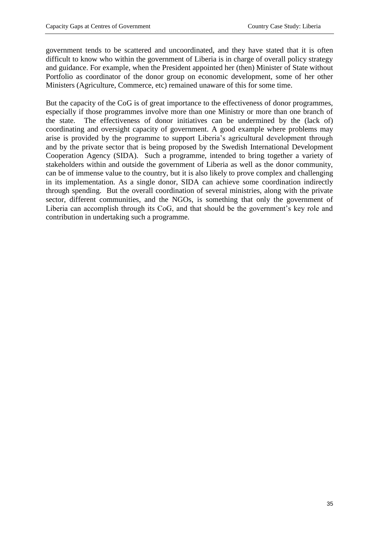government tends to be scattered and uncoordinated, and they have stated that it is often difficult to know who within the government of Liberia is in charge of overall policy strategy and guidance. For example, when the President appointed her (then) Minister of State without Portfolio as coordinator of the donor group on economic development, some of her other Ministers (Agriculture, Commerce, etc) remained unaware of this for some time.

But the capacity of the CoG is of great importance to the effectiveness of donor programmes, especially if those programmes involve more than one Ministry or more than one branch of the state. The effectiveness of donor initiatives can be undermined by the (lack of) coordinating and oversight capacity of government. A good example where problems may arise is provided by the programme to support Liberia's agricultural development through and by the private sector that is being proposed by the Swedish International Development Cooperation Agency (SIDA). Such a programme, intended to bring together a variety of stakeholders within and outside the government of Liberia as well as the donor community, can be of immense value to the country, but it is also likely to prove complex and challenging in its implementation. As a single donor, SIDA can achieve some coordination indirectly through spending. But the overall coordination of several ministries, along with the private sector, different communities, and the NGOs, is something that only the government of Liberia can accomplish through its CoG, and that should be the government's key role and contribution in undertaking such a programme.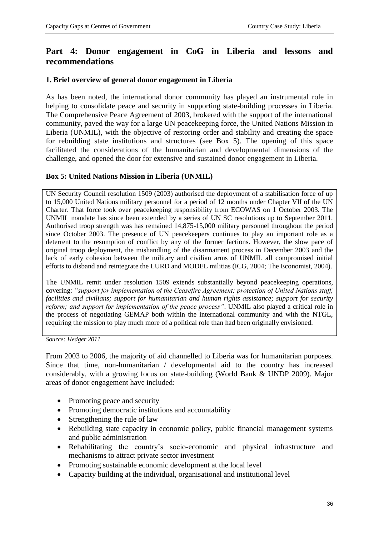# **Part 4: Donor engagement in CoG in Liberia and lessons and recommendations**

## **1. Brief overview of general donor engagement in Liberia**

As has been noted, the international donor community has played an instrumental role in helping to consolidate peace and security in supporting state-building processes in Liberia. The Comprehensive Peace Agreement of 2003, brokered with the support of the international community, paved the way for a large UN peacekeeping force, the United Nations Mission in Liberia (UNMIL), with the objective of restoring order and stability and creating the space for rebuilding state institutions and structures (see Box 5). The opening of this space facilitated the considerations of the humanitarian and developmental dimensions of the challenge, and opened the door for extensive and sustained donor engagement in Liberia.

#### **Box 5: United Nations Mission in Liberia (UNMIL)**

UN Security Council resolution 1509 (2003) authorised the deployment of a stabilisation force of up to 15,000 United Nations military personnel for a period of 12 months under Chapter VII of the UN Charter. That force took over peacekeeping responsibility from ECOWAS on 1 October 2003. The UNMIL mandate has since been extended by a series of UN SC resolutions up to September 2011. Authorised troop strength was has remained 14,875-15,000 military personnel throughout the period since October 2003. The presence of UN peacekeepers continues to play an important role as a deterrent to the resumption of conflict by any of the former factions. However, the slow pace of original troop deployment, the mishandling of the disarmament process in December 2003 and the lack of early cohesion between the military and civilian arms of UNMIL all compromised initial efforts to disband and reintegrate the LURD and MODEL militias (ICG, 2004; The Economist, 2004).

The UNMIL remit under resolution 1509 extends substantially beyond peacekeeping operations, covering: *"support for implementation of the Ceasefire Agreement; protection of United Nations staff, facilities and civilians; support for humanitarian and human rights assistance; support for security reform; and support for implementation of the peace process"*. UNMIL also played a critical role in the process of negotiating GEMAP both within the international community and with the NTGL, requiring the mission to play much more of a political role than had been originally envisioned.

*Source: Hedger 2011*

From 2003 to 2006, the majority of aid channelled to Liberia was for humanitarian purposes. Since that time, non-humanitarian / developmental aid to the country has increased considerably, with a growing focus on state-building (World Bank & UNDP 2009). Major areas of donor engagement have included:

- Promoting peace and security
- Promoting democratic institutions and accountability
- Strengthening the rule of law
- Rebuilding state capacity in economic policy, public financial management systems and public administration
- Rehabilitating the country's socio-economic and physical infrastructure and mechanisms to attract private sector investment
- Promoting sustainable economic development at the local level
- Capacity building at the individual, organisational and institutional level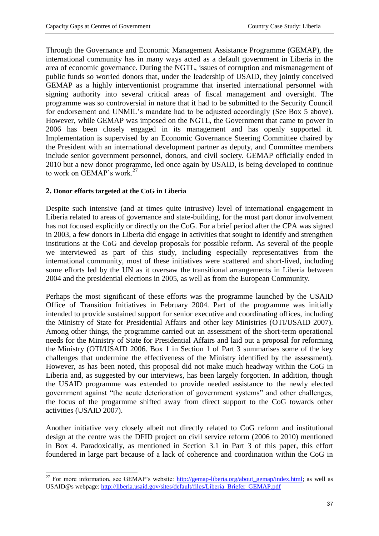Through the Governance and Economic Management Assistance Programme (GEMAP), the international community has in many ways acted as a default government in Liberia in the area of economic governance. During the NGTL, issues of corruption and mismanagement of public funds so worried donors that, under the leadership of USAID, they jointly conceived GEMAP as a highly interventionist programme that inserted international personnel with signing authority into several critical areas of fiscal management and oversight. The programme was so controversial in nature that it had to be submitted to the Security Council for endorsement and UNMIL's mandate had to be adjusted accordingly (See Box 5 above). However, while GEMAP was imposed on the NGTL, the Government that came to power in 2006 has been closely engaged in its management and has openly supported it. Implementation is supervised by an Economic Governance Steering Committee chaired by the President with an international development partner as deputy, and Committee members include senior government personnel, donors, and civil society. GEMAP officially ended in 2010 but a new donor programme, led once again by USAID, is being developed to continue to work on GEMAP's work.<sup>27</sup>

## **2. Donor efforts targeted at the CoG in Liberia**

Despite such intensive (and at times quite intrusive) level of international engagement in Liberia related to areas of governance and state-building, for the most part donor involvement has not focused explicitly or directly on the CoG. For a brief period after the CPA was signed in 2003, a few donors in Liberia did engage in activities that sought to identify and strengthen institutions at the CoG and develop proposals for possible reform. As several of the people we interviewed as part of this study, including especially representatives from the international community, most of these initiatives were scattered and short-lived, including some efforts led by the UN as it oversaw the transitional arrangements in Liberia between 2004 and the presidential elections in 2005, as well as from the European Community.

Perhaps the most significant of these efforts was the programme launched by the USAID Office of Transition Initiatives in February 2004. Part of the programme was initially intended to provide sustained support for senior executive and coordinating offices, including the Ministry of State for Presidential Affairs and other key Ministries (OTI/USAID 2007). Among other things, the programme carried out an assessment of the short-term operational needs for the Ministry of State for Presidential Affairs and laid out a proposal for reforming the Ministry (OTI/USAID 2006. Box 1 in Section 1 of Part 3 summarises some of the key challenges that undermine the effectiveness of the Ministry identified by the assessment). However, as has been noted, this proposal did not make much headway within the CoG in Liberia and, as suggested by our interviews, has been largely forgotten. In addition, though the USAID programme was extended to provide needed assistance to the newly elected government against "the acute deterioration of government systems" and other challenges, the focus of the progarmme shifted away from direct support to the CoG towards other activities (USAID 2007).

Another initiative very closely albeit not directly related to CoG reform and institutional design at the centre was the DFID project on civil service reform (2006 to 2010) mentioned in Box 4. Paradoxically, as mentioned in Section 3.1 in Part 3 of this paper, this effort foundered in large part because of a lack of coherence and coordination within the CoG in

**<sup>.</sup>** <sup>27</sup> For more information, see GEMAP's website:  $\frac{http://gemap-liberia.org/about-gemap/index.html}{http://gemap-liberia.org/about-gemap/index.html};$  as well as USAID@s webpage: http://liberia.usaid.gov/sites/default/files/Liberia\_Briefer\_GEMAP.pdf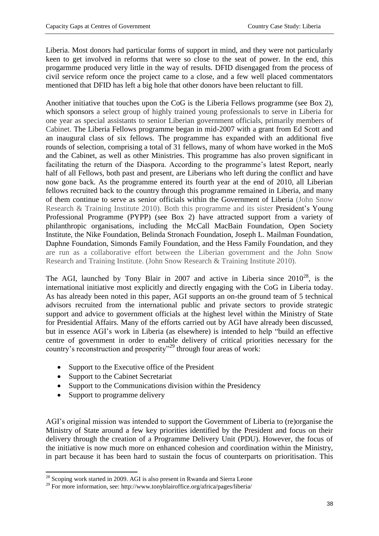Liberia. Most donors had particular forms of support in mind, and they were not particularly keen to get involved in reforms that were so close to the seat of power. In the end, this progarmme produced very little in the way of results. DFID disengaged from the process of civil service reform once the project came to a close, and a few well placed commentators mentioned that DFID has left a big hole that other donors have been reluctant to fill.

Another initiative that touches upon the CoG is the Liberia Fellows programme (see Box 2), which sponsors a select group of highly trained young professionals to serve in Liberia for one year as special assistants to senior Liberian government officials, primarily members of Cabinet. The Liberia Fellows programme began in mid-2007 with a grant from Ed Scott and an inaugural class of six fellows. The programme has expanded with an additional five rounds of selection, comprising a total of 31 fellows, many of whom have worked in the MoS and the Cabinet, as well as other Ministries. This programme has also proven significant in facilitating the return of the Diaspora. According to the programme's latest Report, nearly half of all Fellows, both past and present, are Liberians who left during the conflict and have now gone back. As the programme entered its fourth year at the end of 2010, all Liberian fellows recruited back to the country through this programme remained in Liberia, and many of them continue to serve as senior officials within the Government of Liberia (John Snow Research & Training Institute 2010). Both this programme and its sister President's Young Professional Programme (PYPP) (see Box 2) have attracted support from a variety of philanthropic organisations, including the McCall MacBain Foundation, Open Society Institute, the Nike Foundation, Belinda Stronach Foundation, Joseph L. Mailman Foundation, Daphne Foundation, Simonds Family Foundation, and the Hess Family Foundation, and they are run as a collaborative effort between the Liberian government and the John Snow Research and Training Institute. (John Snow Research & Training Institute 2010).

The AGI, launched by Tony Blair in 2007 and active in Liberia since  $2010^{28}$ , is the international initiative most explicitly and directly engaging with the CoG in Liberia today. As has already been noted in this paper, AGI supports an on-the ground team of 5 technical advisors recruited from the international public and private sectors to provide strategic support and advice to government officials at the highest level within the Ministry of State for Presidential Affairs. Many of the efforts carried out by AGI have already been discussed, but in essence AGI's work in Liberia (as elsewhere) is intended to help "build an effective centre of government in order to enable delivery of critical priorities necessary for the country's reconstruction and prosperity"<sup>29</sup> through four areas of work:

- Support to the Executive office of the President
- Support to the Cabinet Secretariat
- Support to the Communications division within the Presidency
- Support to programme delivery

AGI's original mission was intended to support the Government of Liberia to (re)organise the Ministry of State around a few key priorities identified by the President and focus on their delivery through the creation of a Programme Delivery Unit (PDU). However, the focus of the initiative is now much more on enhanced cohesion and coordination within the Ministry, in part because it has been hard to sustain the focus of counterparts on prioritisation. This

**<sup>.</sup>**  $^{28}$  Scoping work started in 2009. AGI is also present in Rwanda and Sierra Leone

<sup>&</sup>lt;sup>29</sup> For more information, see: http://www.tonyblairoffice.org/africa/pages/liberia/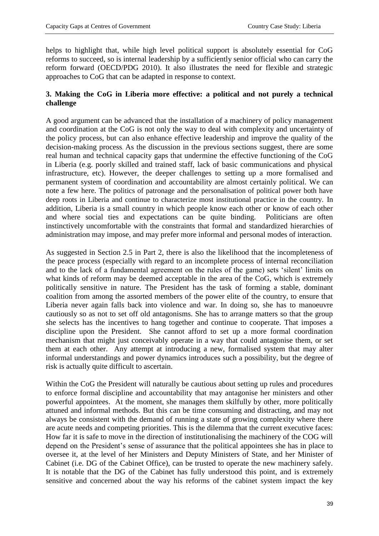helps to highlight that, while high level political support is absolutely essential for CoG reforms to succeed, so is internal leadership by a sufficiently senior official who can carry the reform forward (OECD/PDG 2010). It also illustrates the need for flexible and strategic approaches to CoG that can be adapted in response to context.

## **3. Making the CoG in Liberia more effective: a political and not purely a technical challenge**

A good argument can be advanced that the installation of a machinery of policy management and coordination at the CoG is not only the way to deal with complexity and uncertainty of the policy process, but can also enhance effective leadership and improve the quality of the decision-making process. As the discussion in the previous sections suggest, there are some real human and technical capacity gaps that undermine the effective functioning of the CoG in Liberia (e.g. poorly skilled and trained staff, lack of basic communications and physical infrastructure, etc). However, the deeper challenges to setting up a more formalised and permanent system of coordination and accountability are almost certainly political. We can note a few here. The politics of patronage and the personalisation of political power both have deep roots in Liberia and continue to characterize most institutional practice in the country. In addition, Liberia is a small country in which people know each other or know of each other and where social ties and expectations can be quite binding. Politicians are often instinctively uncomfortable with the constraints that formal and standardized hierarchies of administration may impose, and may prefer more informal and personal modes of interaction.

As suggested in Section 2.5 in Part 2, there is also the likelihood that the incompleteness of the peace process (especially with regard to an incomplete process of internal reconciliation and to the lack of a fundamental agreement on the rules of the game) sets 'silent' limits on what kinds of reform may be deemed acceptable in the area of the CoG, which is extremely politically sensitive in nature. The President has the task of forming a stable, dominant coalition from among the assorted members of the power elite of the country, to ensure that Liberia never again falls back into violence and war. In doing so, she has to manoeuvre cautiously so as not to set off old antagonisms. She has to arrange matters so that the group she selects has the incentives to hang together and continue to cooperate. That imposes a discipline upon the President. She cannot afford to set up a more formal coordination mechanism that might just conceivably operate in a way that could antagonise them, or set them at each other. Any attempt at introducing a new, formalised system that may alter informal understandings and power dynamics introduces such a possibility, but the degree of risk is actually quite difficult to ascertain.

Within the CoG the President will naturally be cautious about setting up rules and procedures to enforce formal discipline and accountability that may antagonise her ministers and other powerful appointees. At the moment, she manages them skilfully by other, more politically attuned and informal methods. But this can be time consuming and distracting, and may not always be consistent with the demand of running a state of growing complexity where there are acute needs and competing priorities. This is the dilemma that the current executive faces: How far it is safe to move in the direction of institutionalising the machinery of the COG will depend on the President's sense of assurance that the political appointees she has in place to oversee it, at the level of her Ministers and Deputy Ministers of State, and her Minister of Cabinet (i.e. DG of the Cabinet Office), can be trusted to operate the new machinery safely. It is notable that the DG of the Cabinet has fully understood this point, and is extremely sensitive and concerned about the way his reforms of the cabinet system impact the key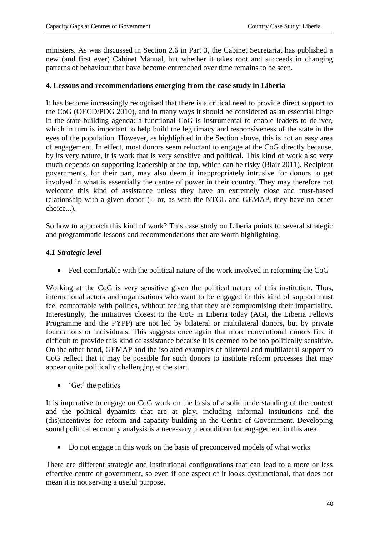ministers. As was discussed in Section 2.6 in Part 3, the Cabinet Secretariat has published a new (and first ever) Cabinet Manual, but whether it takes root and succeeds in changing patterns of behaviour that have become entrenched over time remains to be seen.

## **4. Lessons and recommendations emerging from the case study in Liberia**

It has become increasingly recognised that there is a critical need to provide direct support to the CoG (OECD/PDG 2010), and in many ways it should be considered as an essential hinge in the state-building agenda: a functional CoG is instrumental to enable leaders to deliver, which in turn is important to help build the legitimacy and responsiveness of the state in the eyes of the population. However, as highlighted in the Section above, this is not an easy area of engagement. In effect, most donors seem reluctant to engage at the CoG directly because, by its very nature, it is work that is very sensitive and political. This kind of work also very much depends on supporting leadership at the top, which can be risky (Blair 2011). Recipient governments, for their part, may also deem it inappropriately intrusive for donors to get involved in what is essentially the centre of power in their country. They may therefore not welcome this kind of assistance unless they have an extremely close and trust-based relationship with a given donor (-- or, as with the NTGL and GEMAP, they have no other choice...).

So how to approach this kind of work? This case study on Liberia points to several strategic and programmatic lessons and recommendations that are worth highlighting.

## *4.1 Strategic level*

• Feel comfortable with the political nature of the work involved in reforming the CoG

Working at the CoG is very sensitive given the political nature of this institution. Thus, international actors and organisations who want to be engaged in this kind of support must feel comfortable with politics, without feeling that they are compromising their impartiality. Interestingly, the initiatives closest to the CoG in Liberia today (AGI, the Liberia Fellows Programme and the PYPP) are not led by bilateral or multilateral donors, but by private foundations or individuals. This suggests once again that more conventional donors find it difficult to provide this kind of assistance because it is deemed to be too politically sensitive. On the other hand, GEMAP and the isolated examples of bilateral and multilateral support to CoG reflect that it may be possible for such donors to institute reform processes that may appear quite politically challenging at the start.

• 'Get' the politics

It is imperative to engage on CoG work on the basis of a solid understanding of the context and the political dynamics that are at play, including informal institutions and the (dis)incentives for reform and capacity building in the Centre of Government. Developing sound political economy analysis is a necessary precondition for engagement in this area.

• Do not engage in this work on the basis of preconceived models of what works

There are different strategic and institutional configurations that can lead to a more or less effective centre of government, so even if one aspect of it looks dysfunctional, that does not mean it is not serving a useful purpose.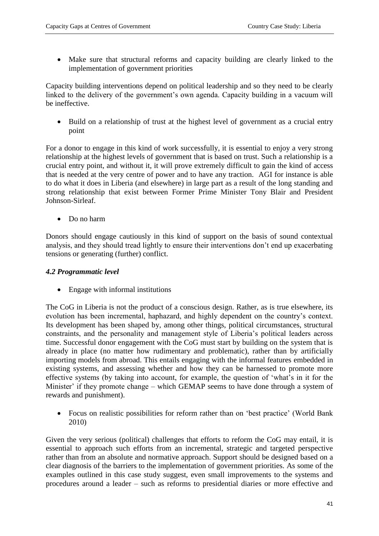Make sure that structural reforms and capacity building are clearly linked to the implementation of government priorities

Capacity building interventions depend on political leadership and so they need to be clearly linked to the delivery of the government's own agenda. Capacity building in a vacuum will be ineffective.

• Build on a relationship of trust at the highest level of government as a crucial entry point

For a donor to engage in this kind of work successfully, it is essential to enjoy a very strong relationship at the highest levels of government that is based on trust. Such a relationship is a crucial entry point, and without it, it will prove extremely difficult to gain the kind of access that is needed at the very centre of power and to have any traction. AGI for instance is able to do what it does in Liberia (and elsewhere) in large part as a result of the long standing and strong relationship that exist between Former Prime Minister Tony Blair and President Johnson-Sirleaf.

• Do no harm

Donors should engage cautiously in this kind of support on the basis of sound contextual analysis, and they should tread lightly to ensure their interventions don't end up exacerbating tensions or generating (further) conflict.

## *4.2 Programmatic level*

• Engage with informal institutions

The CoG in Liberia is not the product of a conscious design. Rather, as is true elsewhere, its evolution has been incremental, haphazard, and highly dependent on the country's context. Its development has been shaped by, among other things, political circumstances, structural constraints, and the personality and management style of Liberia's political leaders across time. Successful donor engagement with the CoG must start by building on the system that is already in place (no matter how rudimentary and problematic), rather than by artificially importing models from abroad. This entails engaging with the informal features embedded in existing systems, and assessing whether and how they can be harnessed to promote more effective systems (by taking into account, for example, the question of 'what's in it for the Minister' if they promote change – which GEMAP seems to have done through a system of rewards and punishment).

 Focus on realistic possibilities for reform rather than on 'best practice' (World Bank 2010)

Given the very serious (political) challenges that efforts to reform the CoG may entail, it is essential to approach such efforts from an incremental, strategic and targeted perspective rather than from an absolute and normative approach. Support should be designed based on a clear diagnosis of the barriers to the implementation of government priorities. As some of the examples outlined in this case study suggest, even small improvements to the systems and procedures around a leader – such as reforms to presidential diaries or more effective and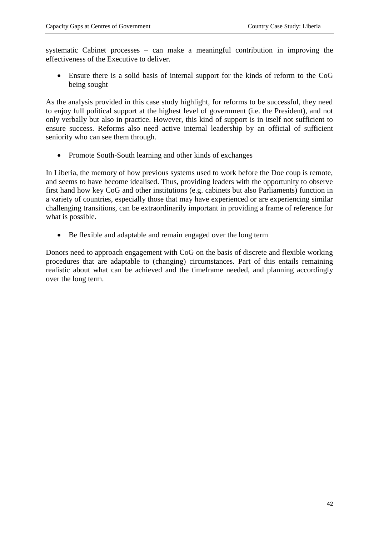systematic Cabinet processes – can make a meaningful contribution in improving the effectiveness of the Executive to deliver.

 Ensure there is a solid basis of internal support for the kinds of reform to the CoG being sought

As the analysis provided in this case study highlight, for reforms to be successful, they need to enjoy full political support at the highest level of government (i.e. the President), and not only verbally but also in practice. However, this kind of support is in itself not sufficient to ensure success. Reforms also need active internal leadership by an official of sufficient seniority who can see them through.

• Promote South-South learning and other kinds of exchanges

In Liberia, the memory of how previous systems used to work before the Doe coup is remote, and seems to have become idealised. Thus, providing leaders with the opportunity to observe first hand how key CoG and other institutions (e.g. cabinets but also Parliaments) function in a variety of countries, especially those that may have experienced or are experiencing similar challenging transitions, can be extraordinarily important in providing a frame of reference for what is possible.

Be flexible and adaptable and remain engaged over the long term

Donors need to approach engagement with CoG on the basis of discrete and flexible working procedures that are adaptable to (changing) circumstances. Part of this entails remaining realistic about what can be achieved and the timeframe needed, and planning accordingly over the long term.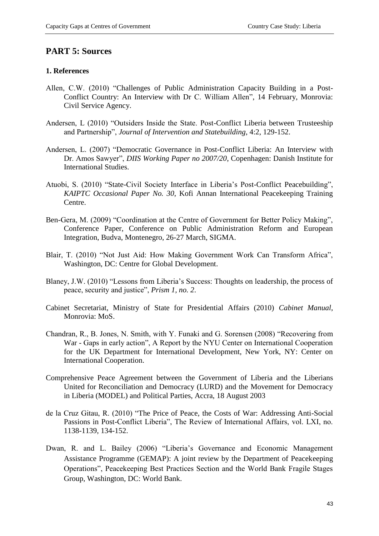## **PART 5: Sources**

#### **1. References**

- Allen, C.W. (2010) "Challenges of Public Administration Capacity Building in a Post-Conflict Country: An Interview with Dr C. William Allen", 14 February, Monrovia: Civil Service Agency.
- Andersen, L (2010) "Outsiders Inside the State. Post-Conflict Liberia between Trusteeship and Partnership", *Journal of Intervention and Statebuilding*, 4:2, 129-152.
- Andersen, L. (2007) "Democratic Governance in Post-Conflict Liberia: An Interview with Dr. Amos Sawyer", *DIIS Working Paper no 2007/20*, Copenhagen: Danish Institute for International Studies.
- Atuobi, S. (2010) "State-Civil Society Interface in Liberia's Post-Conflict Peacebuilding", *KAIPTC Occasional Paper No. 30*, Kofi Annan International Peacekeeping Training Centre.
- Ben-Gera, M. (2009) "Coordination at the Centre of Government for Better Policy Making", Conference Paper, Conference on Public Administration Reform and European Integration, Budva, Montenegro, 26-27 March, SIGMA.
- Blair, T. (2010) "Not Just Aid: How Making Government Work Can Transform Africa", Washington, DC: Centre for Global Development.
- Blaney, J.W. (2010) "Lessons from Liberia's Success: Thoughts on leadership, the process of peace, security and justice", *Prism 1, no. 2*.
- Cabinet Secretariat, Ministry of State for Presidential Affairs (2010) *Cabinet Manual*, Monrovia: MoS.
- Chandran, R., B. Jones, N. Smith, with Y. Funaki and G. Sorensen (2008) "Recovering from War - Gaps in early action", A Report by the NYU Center on International Cooperation for the UK Department for International Development, New York, NY: Center on International Cooperation.
- Comprehensive Peace Agreement between the Government of Liberia and the Liberians United for Reconciliation and Democracy (LURD) and the Movement for Democracy in Liberia (MODEL) and Political Parties, Accra, 18 August 2003
- de la Cruz Gitau, R. (2010) "The Price of Peace, the Costs of War: Addressing Anti-Social Passions in Post-Conflict Liberia", The Review of International Affairs, vol. LXI, no. 1138-1139, 134-152.
- Dwan, R. and L. Bailey (2006) "Liberia's Governance and Economic Management Assistance Programme (GEMAP): A joint review by the Department of Peacekeeping Operations", Peacekeeping Best Practices Section and the World Bank Fragile Stages Group, Washington, DC: World Bank.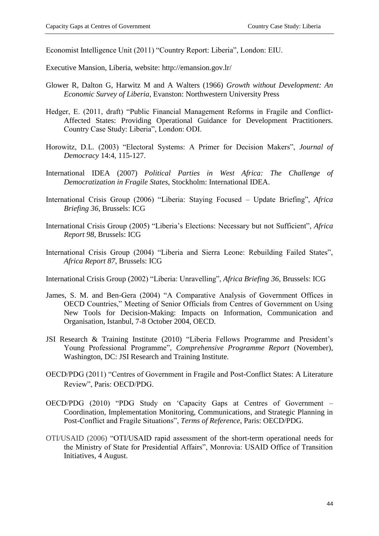Economist Intelligence Unit (2011) "Country Report: Liberia", London: EIU.

Executive Mansion, Liberia, website: http://emansion.gov.lr/

- Glower R, Dalton G, Harwitz M and A Walters (1966) *Growth without Development: An Economic Survey of Liberia*, Evanston: Northwestern University Press
- Hedger, E. (2011, draft) "Public Financial Management Reforms in Fragile and Conflict-Affected States: Providing Operational Guidance for Development Practitioners. Country Case Study: Liberia", London: ODI.
- Horowitz, D.L. (2003) "Electoral Systems: A Primer for Decision Makers", *Journal of Democracy* 14:4, 115-127.
- International IDEA (2007) *Political Parties in West Africa: The Challenge of Democratization in Fragile States*, Stockholm: International IDEA.
- International Crisis Group (2006) "Liberia: Staying Focused Update Briefing", *Africa Briefing 36*, Brussels: ICG
- International Crisis Group (2005) "Liberia's Elections: Necessary but not Sufficient", *Africa Report 98*, Brussels: ICG
- International Crisis Group (2004) "Liberia and Sierra Leone: Rebuilding Failed States", *Africa Report 87*, Brussels: ICG

International Crisis Group (2002) "Liberia: Unravelling", *Africa Briefing 36*, Brussels: ICG

- James, S. M. and Ben-Gera (2004) "A Comparative Analysis of Government Offices in OECD Countries," Meeting of Senior Officials from Centres of Government on Using New Tools for Decision-Making: Impacts on Information, Communication and Organisation, Istanbul, 7-8 October 2004, OECD.
- JSI Research & Training Institute (2010) "Liberia Fellows Programme and President's Young Professional Programme", *Comprehensive Programme Report* (November), Washington, DC: JSI Research and Training Institute.
- OECD/PDG (2011) "Centres of Government in Fragile and Post-Conflict States: A Literature Review", Paris: OECD/PDG.
- OECD/PDG (2010) "PDG Study on 'Capacity Gaps at Centres of Government Coordination, Implementation Monitoring, Communications, and Strategic Planning in Post-Conflict and Fragile Situations", *Terms of Reference*, Paris: OECD/PDG.
- OTI/USAID (2006) "OTI/USAID rapid assessment of the short-term operational needs for the Ministry of State for Presidential Affairs", Monrovia: USAID Office of Transition Initiatives, 4 August.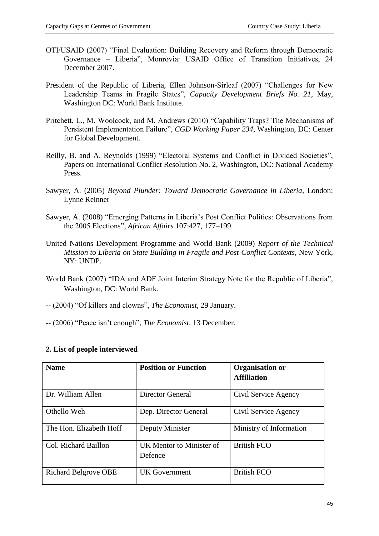- OTI/USAID (2007) "Final Evaluation: Building Recovery and Reform through Democratic Governance – Liberia", Monrovia: USAID Office of Transition Initiatives, 24 December 2007.
- President of the Republic of Liberia, Ellen Johnson-Sirleaf (2007) "Challenges for New Leadership Teams in Fragile States", *Capacity Development Briefs No. 21*, May, Washington DC: World Bank Institute.
- Pritchett, L., M. Woolcock, and M. Andrews (2010) "Capability Traps? The Mechanisms of Persistent Implementation Failure", *CGD Working Paper 234*, Washington, DC: Center for Global Development.
- Reilly, B. and A. Reynolds (1999) "Electoral Systems and Conflict in Divided Societies", Papers on International Conflict Resolution No. 2, Washington, DC: National Academy Press.
- Sawyer, A. (2005) *Beyond Plunder: Toward Democratic Governance in Liberia*, London: Lynne Reinner
- Sawyer, A. (2008) "Emerging Patterns in Liberia's Post Conflict Politics: Observations from the 2005 Elections", *African Affairs* 107:427, 177–199.
- United Nations Development Programme and World Bank (2009) *Report of the Technical Mission to Liberia on State Building in Fragile and Post-Conflict Contexts*, New York, NY: UNDP.
- World Bank (2007) "IDA and ADF Joint Interim Strategy Note for the Republic of Liberia", Washington, DC: World Bank.
- -- (2004) "Of killers and clowns", *The Economist*, 29 January.
- -- (2006) "Peace isn't enough", *The Economist,* 13 December.

| <b>Name</b>                 | <b>Position or Function</b>         | <b>Organisation or</b><br><b>Affiliation</b> |
|-----------------------------|-------------------------------------|----------------------------------------------|
| Dr. William Allen           | Director General                    | Civil Service Agency                         |
| Othello Weh                 | Dep. Director General               | Civil Service Agency                         |
| The Hon. Elizabeth Hoff     | Deputy Minister                     | Ministry of Information                      |
| Col. Richard Baillon        | UK Mentor to Minister of<br>Defence | <b>British FCO</b>                           |
| <b>Richard Belgrove OBE</b> | UK Government                       | <b>British FCO</b>                           |

## **2. List of people interviewed**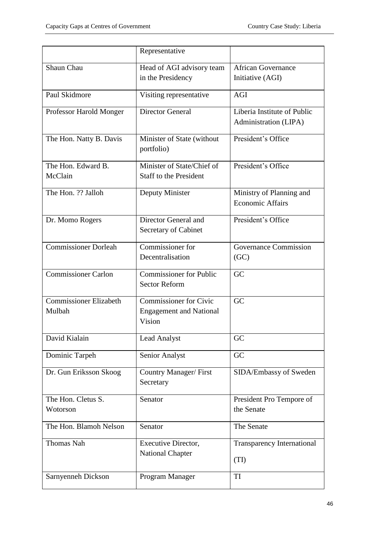|                                         | Representative                                                            |                                                      |
|-----------------------------------------|---------------------------------------------------------------------------|------------------------------------------------------|
| Shaun Chau                              | Head of AGI advisory team                                                 | <b>African Governance</b>                            |
|                                         | in the Presidency                                                         | Initiative (AGI)                                     |
| Paul Skidmore                           | Visiting representative                                                   | <b>AGI</b>                                           |
| Professor Harold Monger                 | <b>Director General</b>                                                   | Liberia Institute of Public<br>Administration (LIPA) |
| The Hon. Natty B. Davis                 | Minister of State (without<br>portfolio)                                  | President's Office                                   |
| The Hon. Edward B.<br>McClain           | Minister of State/Chief of<br><b>Staff to the President</b>               | President's Office                                   |
| The Hon. ?? Jalloh                      | Deputy Minister                                                           | Ministry of Planning and<br><b>Economic Affairs</b>  |
| Dr. Momo Rogers                         | Director General and<br>Secretary of Cabinet                              | President's Office                                   |
| <b>Commissioner Dorleah</b>             | Commissioner for<br>Decentralisation                                      | <b>Governance Commission</b><br>(GC)                 |
| <b>Commissioner Carlon</b>              | <b>Commissioner for Public</b><br><b>Sector Reform</b>                    | GC                                                   |
| <b>Commissioner Elizabeth</b><br>Mulbah | <b>Commissioner for Civic</b><br><b>Engagement and National</b><br>Vision | GC                                                   |
| David Kialain                           | Lead Analyst                                                              | GC                                                   |
| Dominic Tarpeh                          | Senior Analyst                                                            | GC                                                   |
| Dr. Gun Eriksson Skoog                  | <b>Country Manager/ First</b><br>Secretary                                | SIDA/Embassy of Sweden                               |
| The Hon. Cletus S.<br>Wotorson          | Senator                                                                   | President Pro Tempore of<br>the Senate               |
| The Hon. Blamoh Nelson                  | Senator                                                                   | The Senate                                           |
| <b>Thomas Nah</b>                       | Executive Director,<br><b>National Chapter</b>                            | <b>Transparency International</b><br>(TI)            |
| Sarnyenneh Dickson                      | Program Manager                                                           | TI                                                   |